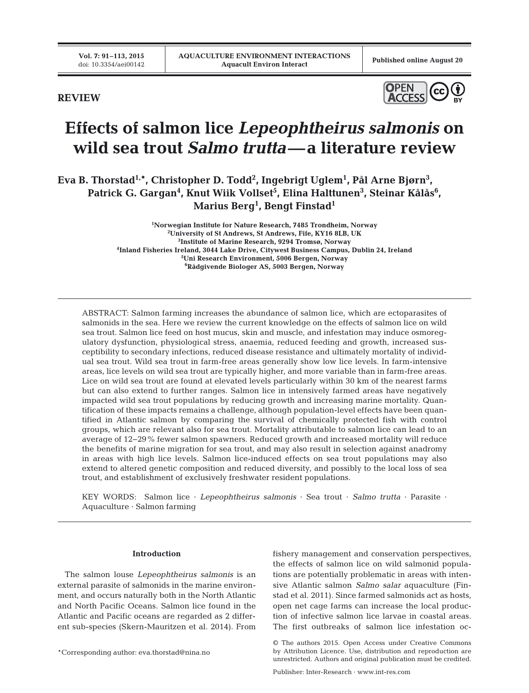**REVIEW**



# **Effects of salmon lice** *Lepeophtheirus salmonis* **on wild sea trout** *Salmo trutta***—a literature review**

**Eva B. Thorstad1,\*, Christopher D. Todd2 , Ingebrigt Uglem1 , Pål Arne Bjørn3 ,**  Patrick G. Gargan<sup>4</sup>, Knut Wiik Vollset<sup>5</sup>, Elina Halttunen<sup>3</sup>, Steinar Kålås<sup>6</sup>, **Marius Berg1 , Bengt Finstad1**

> <sup>1</sup> Norwegian Institute for Nature Research, 7485 Trondheim, Norway<sup>2</sup> Iniversity of St Andrews, St Andrews, Fife, KV16 8I B, LIK **University of St Andrews, St Andrews, Fife, KY16 8LB, UK Institute of Marine Research, 9294 Tromsø, Norway Inland Fisheries Ireland, 3044 Lake Drive, Citywest Business Campus, Dublin 24, Ireland Uni Research Environment, 5006 Bergen, Norway Rådgivende Biologer AS, 5003 Bergen, Norway**

ABSTRACT: Salmon farming increases the abundance of salmon lice, which are ectoparasites of salmonids in the sea. Here we review the current knowledge on the effects of salmon lice on wild sea trout. Salmon lice feed on host mucus, skin and muscle, and infestation may induce osmoregulatory dysfunction, physiological stress, anaemia, reduced feeding and growth, increased susceptibility to secondary infections, reduced disease resistance and ultimately mortality of individual sea trout. Wild sea trout in farm-free areas generally show low lice levels. In farm-intensive areas, lice levels on wild sea trout are typically higher, and more variable than in farm-free areas. Lice on wild sea trout are found at elevated levels particularly within 30 km of the nearest farms but can also extend to further ranges. Salmon lice in intensively farmed areas have negatively impacted wild sea trout populations by reducing growth and increasing marine mortality. Quantification of these impacts remains a challenge, although population-level effects have been quantified in Atlantic salmon by comparing the survival of chemically protected fish with control groups, which are relevant also for sea trout. Mortality attributable to salmon lice can lead to an average of 12−29% fewer salmon spawners. Reduced growth and increased mortality will reduce the benefits of marine migration for sea trout, and may also result in selection against anadromy in areas with high lice levels. Salmon lice-induced effects on sea trout populations may also extend to altered genetic composition and reduced diversity, and possibly to the local loss of sea trout, and establishment of exclusively freshwater resident populations.

KEY WORDS: Salmon lice · *Lepeophtheirus salmonis* · Sea trout · *Salmo trutta* · Parasite · Aquaculture · Salmon farming

## **Introduction**

The salmon louse *Lepeophtheirus salmonis* is an external parasite of salmonids in the marine environment, and occurs naturally both in the North Atlantic and North Pacific Oceans. Salmon lice found in the Atlantic and Pacific oceans are regarded as 2 different sub-species (Skern-Mauritzen et al. 2014). From

\*Corresponding author: eva.thorstad@nina.no

fishery management and conservation perspectives, the effects of salmon lice on wild salmonid populations are potentially problematic in areas with intensive Atlantic salmon *Salmo salar* aquaculture (Finstad et al. 2011). Since farmed salmonids act as hosts, open net cage farms can increase the local production of infective salmon lice larvae in coastal areas. The first outbreaks of salmon lice infestation oc-

<sup>©</sup> The authors 2015. Open Access under Creative Commons by Attribution Licence. Use, distribution and reproduction are un restricted. Authors and original publication must be credited.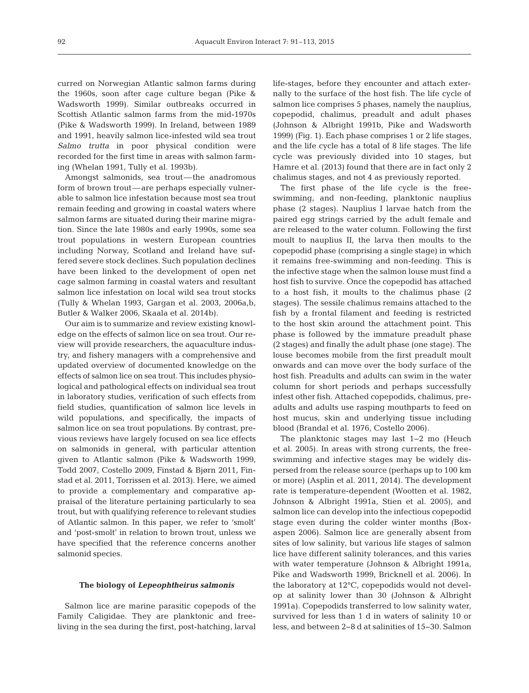curred on Norwegian Atlantic salmon farms during the 1960s, soon after cage culture began (Pike & Wadsworth 1999). Similar outbreaks occurred in Scottish Atlantic salmon farms from the mid-1970s (Pike & Wadsworth 1999). In Ireland, between 1989 and 1991, heavily salmon lice-infested wild sea trout *Salmo trutta* in poor physical condition were recorded for the first time in areas with salmon farming (Whelan 1991, Tully et al. 1993b).

Amongst salmonids, sea trout—the anadromous form of brown trout—are perhaps especially vulnerable to salmon lice infestation because most sea trout remain feeding and growing in coastal waters where salmon farms are situated during their marine migration. Since the late 1980s and early 1990s, some sea trout populations in western European countries including Norway, Scotland and Ireland have suffered severe stock declines. Such population declines have been linked to the development of open net cage salmon farming in coastal waters and resultant salmon lice infestation on local wild sea trout stocks (Tully & Whelan 1993, Gargan et al. 2003, 2006a,b, Butler & Walker 2006, Skaala et al. 2014b).

Our aim is to summarize and review existing knowledge on the effects of salmon lice on sea trout. Our review will provide researchers, the aquaculture industry, and fishery managers with a comprehensive and updated overview of documented knowledge on the effects of salmon lice on sea trout. This includes physio logical and pathological effects on individual sea trout in laboratory studies, verification of such effects from field studies, quantification of salmon lice levels in wild populations, and specifically, the impacts of salmon lice on sea trout populations. By contrast, previous reviews have largely focused on sea lice effects on salmonids in general, with particular attention given to Atlantic salmon (Pike & Wadsworth 1999, Todd 2007, Costello 2009, Finstad & Bjørn 2011, Finstad et al. 2011, Torrissen et al. 2013). Here, we aimed to provide a complementary and comparative appraisal of the literature pertaining particularly to sea trout, but with qualifying reference to relevant studies of Atlantic salmon. In this paper, we refer to 'smolt' and 'post-smolt' in relation to brown trout, unless we have specified that the reference concerns another salmonid species.

#### **The biology of** *Lepeophtheirus salmonis*

Salmon lice are marine parasitic copepods of the Family Caligidae. They are planktonic and freeliving in the sea during the first, post-hatching, larval life-stages, before they encounter and attach externally to the surface of the host fish. The life cycle of salmon lice comprises 5 phases, namely the nauplius, copepodid, chalimus, preadult and adult phases (Johnson & Albright 1991b, Pike and Wadsworth 1999) (Fig. 1). Each phase comprises 1 or 2 life stages, and the life cycle has a total of 8 life stages. The life cycle was previously divided into 10 stages, but Hamre et al. (2013) found that there are in fact only 2 chalimus stages, and not 4 as previously reported.

The first phase of the life cycle is the freeswimming, and non-feeding, planktonic nauplius phase (2 stages). Nauplius I larvae hatch from the paired egg strings carried by the adult female and are released to the water column. Following the first moult to nauplius II, the larva then moults to the copepodid phase (comprising a single stage) in which it remains free-swimming and non-feeding. This is the infective stage when the salmon louse must find a host fish to survive. Once the copepodid has attached to a host fish, it moults to the chalimus phase (2 stages). The sessile chalimus remains attached to the fish by a frontal filament and feeding is restricted to the host skin around the attachment point. This phase is followed by the immature preadult phase (2 stages) and finally the adult phase (one stage). The louse becomes mobile from the first preadult moult onwards and can move over the body surface of the host fish. Preadults and adults can swim in the water column for short periods and perhaps successfully infest other fish. Attached copepodids, chalimus, pre adults and adults use rasping mouthparts to feed on host mucus, skin and underlying tissue including blood (Brandal et al. 1976, Costello 2006).

The planktonic stages may last 1−2 mo (Heuch et al. 2005). In areas with strong currents, the freeswimming and infective stages may be widely dispersed from the release source (perhaps up to 100 km or more) (Asplin et al. 2011, 2014). The development rate is temperature-dependent (Wootten et al. 1982, Johnson & Albright 1991a, Stien et al. 2005), and salmon lice can develop into the infectious copepodid stage even during the colder winter months (Boxaspen 2006). Salmon lice are generally absent from sites of low salinity, but various life stages of salmon lice have different salinity tolerances, and this varies with water temperature (Johnson & Albright 1991a, Pike and Wadsworth 1999, Bricknell et al. 2006). In the laboratory at 12°C, copepodids would not develop at salinity lower than 30 (Johnson & Albright 1991a). Copepodids transferred to low salinity water, survived for less than 1 d in waters of salinity 10 or less, and between 2−8 d at salinities of 15−30. Salmon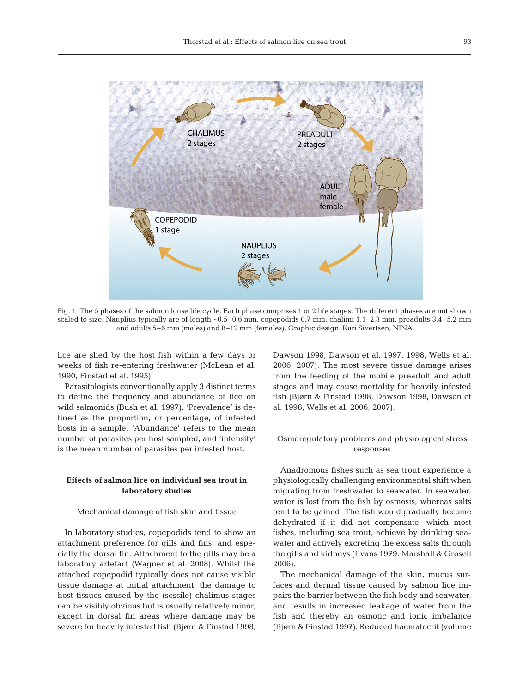

Fig. 1. The 5 phases of the salmon louse life cycle. Each phase comprises 1 or 2 life stages. The different phases are not shown scaled to size. Nauplius typically are of length ~0.5–0.6 mm, copepodids 0.7 mm, chalimi 1.1–2.3 mm, preadults 3.4–5.2 mm and adults 5–6 mm (males) and 8–12 mm (females). Graphic design: Kari Sivertsen, NINA

lice are shed by the host fish within a few days or weeks of fish re-entering freshwater (McLean et al. 1990, Finstad et al. 1995).

Parasitologists conventionally apply 3 distinct terms to define the frequency and abundance of lice on wild salmonids (Bush et al. 1997). 'Prevalence' is de fined as the proportion, or percentage, of infested hosts in a sample. 'Abundance' refers to the mean number of parasites per host sampled, and 'intensity' is the mean number of parasites per infested host.

# **Effects of salmon lice on individual sea trout in laboratory studies**

## Mechanical damage of fish skin and tissue

In laboratory studies, copepodids tend to show an attachment preference for gills and fins, and especially the dorsal fin. Attachment to the gills may be a laboratory artefact (Wagner et al. 2008). Whilst the attached copepodid typically does not cause visible tissue damage at initial attachment, the damage to host tissues caused by the (sessile) chalimus stages can be visibly obvious but is usually relatively minor, except in dorsal fin areas where damage may be severe for heavily infested fish (Bjørn & Finstad 1998, Dawson 1998, Dawson et al. 1997, 1998, Wells et al. 2006, 2007). The most severe tissue damage arises from the feeding of the mobile preadult and adult stages and may cause mortality for heavily infested fish (Bjørn & Finstad 1998, Dawson 1998, Dawson et al. 1998, Wells et al. 2006, 2007).

# Osmoregulatory problems and physiological stress responses

Anadromous fishes such as sea trout experience a physiologically challenging environmental shift when migrating from freshwater to seawater. In seawater, water is lost from the fish by osmosis, whereas salts tend to be gained. The fish would gradually become dehydrated if it did not compensate, which most fishes, including sea trout, achieve by drinking seawater and actively excreting the excess salts through the gills and kidneys (Evans 1979, Marshall & Grosell 2006).

The mechanical damage of the skin, mucus surfaces and dermal tissue caused by salmon lice im pairs the barrier between the fish body and seawater, and results in increased leakage of water from the fish and thereby an osmotic and ionic imbalance (Bjørn & Finstad 1997). Reduced haematocrit (volume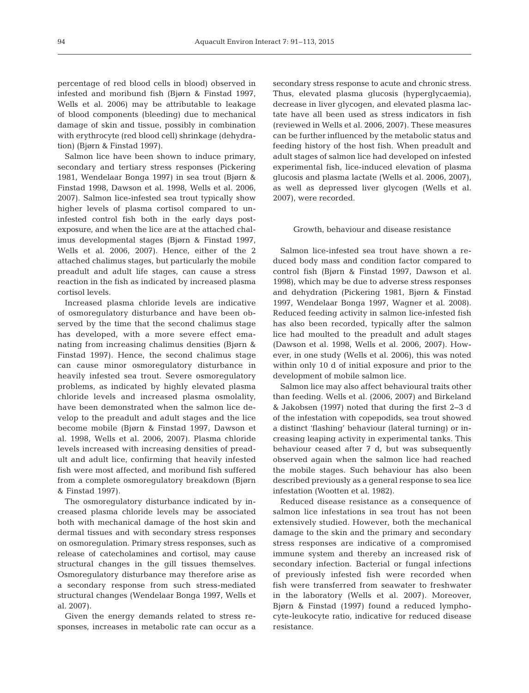percentage of red blood cells in blood) observed in infested and moribund fish (Bjørn & Finstad 1997, Wells et al. 2006) may be attributable to leakage of blood components (bleeding) due to mechanical damage of skin and tissue, possibly in combination with erythrocyte (red blood cell) shrinkage (dehydration) (Bjørn & Finstad 1997).

Salmon lice have been shown to induce primary, secondary and tertiary stress responses (Pickering 1981, Wendelaar Bonga 1997) in sea trout (Bjørn & Finstad 1998, Dawson et al. 1998, Wells et al. 2006, 2007). Salmon lice-infested sea trout typically show higher levels of plasma cortisol compared to uninfested control fish both in the early days postexposure, and when the lice are at the attached chalimus developmental stages (Bjørn & Finstad 1997, Wells et al. 2006, 2007). Hence, either of the 2 attached chalimus stages, but particularly the mobile preadult and adult life stages, can cause a stress reaction in the fish as indicated by increased plasma cortisol levels.

Increased plasma chloride levels are indicative of osmoregulatory disturbance and have been observed by the time that the second chalimus stage has developed, with a more severe effect emanating from increasing chalimus densities (Bjørn & Finstad 1997). Hence, the second chalimus stage can cause minor osmoregulatory disturbance in heavily infested sea trout. Severe osmoregulatory problems, as indicated by highly elevated plasma chloride levels and increased plasma osmolality, have been demonstrated when the salmon lice develop to the preadult and adult stages and the lice become mobile (Bjørn & Finstad 1997, Dawson et al. 1998, Wells et al. 2006, 2007). Plasma chloride levels increased with increasing densities of preadult and adult lice, confirming that heavily infested fish were most affected, and moribund fish suffered from a complete osmoregulatory breakdown (Bjørn & Finstad 1997).

The osmoregulatory disturbance indicated by increased plasma chloride levels may be associated both with mechanical damage of the host skin and dermal tissues and with secondary stress responses on osmoregulation. Primary stress responses, such as release of catecholamines and cortisol, may cause structural changes in the gill tissues themselves. Osmoregulatory disturbance may therefore arise as a secondary response from such stress-mediated structural changes (Wendelaar Bonga 1997, Wells et al. 2007).

Given the energy demands related to stress re sponses, increases in metabolic rate can occur as a secondary stress response to acute and chronic stress. Thus, elevated plasma glucosis (hyperglycaemia), decrease in liver glycogen, and elevated plasma lactate have all been used as stress indicators in fish (reviewed in Wells et al. 2006, 2007). These measures can be further influenced by the metabolic status and feeding history of the host fish. When preadult and adult stages of salmon lice had developed on infested experimental fish, lice-induced elevation of plasma glucosis and plasma lactate (Wells et al. 2006, 2007), as well as depressed liver glycogen (Wells et al. 2007), were recorded.

## Growth, behaviour and disease resistance

Salmon lice-infested sea trout have shown a reduced body mass and condition factor compared to control fish (Bjørn & Finstad 1997, Dawson et al. 1998), which may be due to adverse stress responses and dehydration (Pickering 1981, Bjørn & Finstad 1997, Wendelaar Bonga 1997, Wagner et al. 2008). Reduced feeding activity in salmon lice-infested fish has also been recorded, typically after the salmon lice had moulted to the preadult and adult stages (Dawson et al. 1998, Wells et al. 2006, 2007). However, in one study (Wells et al. 2006), this was noted within only 10 d of initial exposure and prior to the development of mobile salmon lice.

Salmon lice may also affect behavioural traits other than feeding. Wells et al. (2006, 2007) and Birkeland & Jakobsen (1997) noted that during the first 2−3 d of the infestation with copepodids, sea trout showed a distinct 'flashing' behaviour (lateral turning) or in creasing leaping activity in experimental tanks. This behaviour ceased after 7 d, but was subsequently observed again when the salmon lice had reached the mobile stages. Such behaviour has also been described previously as a general response to sea lice infestation (Wootten et al. 1982).

Reduced disease resistance as a consequence of salmon lice infestations in sea trout has not been extensively studied. However, both the mechanical damage to the skin and the primary and secondary stress responses are indicative of a compromised immune system and thereby an increased risk of secondary infection. Bacterial or fungal infections of previously infested fish were recorded when fish were transferred from seawater to freshwater in the laboratory (Wells et al. 2007). Moreover, Bjørn & Finstad (1997) found a reduced lymphocyte-leukocyte ratio, indicative for reduced disease resistance.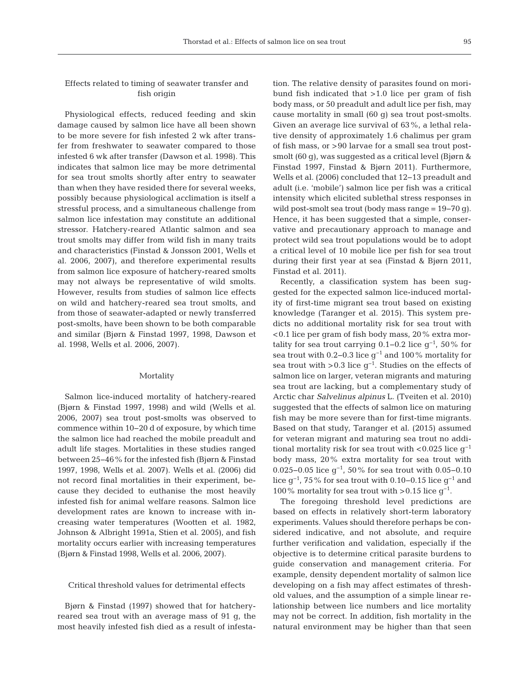# Effects related to timing of seawater transfer and fish origin

Physiological effects, reduced feeding and skin damage caused by salmon lice have all been shown to be more severe for fish infested 2 wk after transfer from freshwater to seawater compared to those infested 6 wk after transfer (Dawson et al. 1998). This indicates that salmon lice may be more detrimental for sea trout smolts shortly after entry to seawater than when they have resided there for several weeks, possibly because physiological acclimation is itself a stressful process, and a simultaneous challenge from salmon lice infestation may constitute an additional stressor. Hatchery-reared Atlantic salmon and sea trout smolts may differ from wild fish in many traits and characteristics (Finstad & Jonsson 2001, Wells et al. 2006, 2007), and therefore experimental results from salmon lice exposure of hatchery-reared smolts may not always be representative of wild smolts. However, results from studies of salmon lice effects on wild and hatchery-reared sea trout smolts, and from those of seawater-adapted or newly transferred post-smolts, have been shown to be both comparable and similar (Bjørn & Finstad 1997, 1998, Dawson et al. 1998, Wells et al. 2006, 2007).

## Mortality

Salmon lice-induced mortality of hatchery-reared (Bjørn & Finstad 1997, 1998) and wild (Wells et al. 2006, 2007) sea trout post-smolts was observed to commence within 10−20 d of exposure, by which time the salmon lice had reached the mobile preadult and adult life stages. Mortalities in these studies ranged between 25−46% for the infested fish (Bjørn & Finstad 1997, 1998, Wells et al. 2007). Wells et al. (2006) did not record final mortalities in their experiment, because they decided to euthanise the most heavily infested fish for animal welfare reasons. Salmon lice development rates are known to increase with increasing water temperatures (Wootten et al. 1982, Johnson & Albright 1991a, Stien et al. 2005), and fish mortality occurs earlier with increasing temperatures (Bjørn & Finstad 1998, Wells et al. 2006, 2007).

#### Critical threshold values for detrimental effects

Bjørn & Finstad (1997) showed that for hatcheryreared sea trout with an average mass of 91 g, the most heavily infested fish died as a result of infestation. The relative density of parasites found on moribund fish indicated that >1.0 lice per gram of fish body mass, or 50 preadult and adult lice per fish, may cause mortality in small (60 g) sea trout post-smolts. Given an average lice survival of 63%, a lethal relative density of approximately 1.6 chalimus per gram of fish mass, or >90 larvae for a small sea trout postsmolt (60 g), was suggested as a critical level (Bjørn & Finstad 1997, Finstad & Bjørn 2011). Furthermore, Wells et al. (2006) concluded that 12−13 preadult and adult (i.e. 'mobile') salmon lice per fish was a critical intensity which elicited sublethal stress responses in wild post-smolt sea trout (body mass range = 19−70 g). Hence, it has been suggested that a simple, conservative and precautionary approach to manage and protect wild sea trout populations would be to adopt a critical level of 10 mobile lice per fish for sea trout during their first year at sea (Finstad & Bjørn 2011, Finstad et al. 2011).

Recently, a classification system has been suggested for the expected salmon lice-induced mortality of first-time migrant sea trout based on existing knowledge (Taranger et al. 2015). This system predicts no additional mortality risk for sea trout with <0.1 lice per gram of fish body mass, 20% extra mortality for sea trout carrying  $0.1-0.2$  lice  $g^{-1}$ , 50% for sea trout with 0.2−0.3 lice g−1 and 100% mortality for sea trout with >0.3 lice  $g^{-1}$ . Studies on the effects of salmon lice on larger, veteran migrants and maturing sea trout are lacking, but a complementary study of Arctic char *Salvelinus alpinus* L. (Tveiten et al. 2010) suggested that the effects of salmon lice on maturing fish may be more severe than for first-time migrants. Based on that study, Taranger et al. (2015) assumed for veteran migrant and maturing sea trout no additional mortality risk for sea trout with <0.025 lice  $g^{-1}$ body mass, 20% extra mortality for sea trout with 0.025−0.05 lice g−1, 50% for sea trout with 0.05−0.10 lice g<sup>-1</sup>, 75% for sea trout with 0.10–0.15 lice g<sup>-1</sup> and 100% mortality for sea trout with >0.15 lice  $q^{-1}$ .

The foregoing threshold level predictions are based on effects in relatively short-term laboratory experiments. Values should therefore perhaps be considered indicative, and not absolute, and require further verification and validation, especially if the objective is to determine critical parasite burdens to guide conservation and management criteria. For example, density dependent mortality of salmon lice developing on a fish may affect estimates of threshold values, and the assumption of a simple linear re lationship between lice numbers and lice mortality may not be correct. In addition, fish mortality in the natural environment may be higher than that seen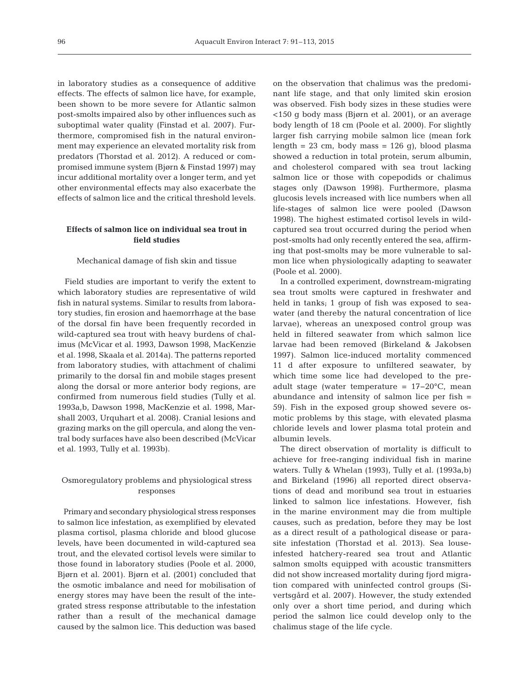in laboratory studies as a consequence of additive effects. The effects of salmon lice have, for example, been shown to be more severe for Atlantic salmon post-smolts impaired also by other influences such as suboptimal water quality (Finstad et al. 2007). Furthermore, compromised fish in the natural environment may experience an elevated mortality risk from predators (Thorstad et al. 2012). A reduced or compromised immune system (Bjørn & Finstad 1997) may incur additional mortality over a longer term, and yet other environmental effects may also exacerbate the effects of salmon lice and the critical threshold levels.

# **Effects of salmon lice on individual sea trout in field studies**

## Mechanical damage of fish skin and tissue

Field studies are important to verify the extent to which laboratory studies are representative of wild fish in natural systems. Similar to results from laboratory studies, fin erosion and haemorrhage at the base of the dorsal fin have been frequently recorded in wild-captured sea trout with heavy burdens of chalimus (McVicar et al. 1993, Dawson 1998, MacKenzie et al. 1998, Skaala et al. 2014a). The patterns reported from laboratory studies, with attachment of chalimi primarily to the dorsal fin and mobile stages present along the dorsal or more anterior body regions, are confirmed from numerous field studies (Tully et al. 1993a,b, Dawson 1998, MacKenzie et al. 1998, Marshall 2003, Urquhart et al. 2008). Cranial lesions and grazing marks on the gill opercula, and along the ventral body surfaces have also been described (McVicar et al. 1993, Tully et al. 1993b).

# Osmoregulatory problems and physiological stress responses

Primaryand secondary physiological stress responses to salmon lice infestation, as exemplified by elevated plasma cortisol, plasma chloride and blood glucose levels, have been documented in wild-captured sea trout, and the elevated cortisol levels were similar to those found in laboratory studies (Poole et al. 2000, Bjørn et al. 2001). Bjørn et al. (2001) concluded that the osmotic imbalance and need for mobilisation of energy stores may have been the result of the integrated stress response attributable to the infestation rather than a result of the mechanical damage caused by the salmon lice. This deduction was based on the observation that chalimus was the predominant life stage, and that only limited skin erosion was observed. Fish body sizes in these studies were <150 g body mass (Bjørn et al. 2001), or an average body length of 18 cm (Poole et al. 2000). For slightly larger fish carrying mobile salmon lice (mean fork length =  $23$  cm, body mass =  $126$  g), blood plasma showed a reduction in total protein, serum albumin, and cholesterol compared with sea trout lacking salmon lice or those with copepodids or chalimus stages only (Dawson 1998). Furthermore, plasma glucosis levels increased with lice numbers when all life-stages of salmon lice were pooled (Dawson 1998). The highest estimated cortisol levels in wildcaptured sea trout occurred during the period when post-smolts had only recently entered the sea, affirming that post-smolts may be more vulnerable to salmon lice when physiologically adapting to seawater (Poole et al. 2000).

In a controlled experiment, downstream-migrating sea trout smolts were captured in freshwater and held in tanks; 1 group of fish was exposed to seawater (and thereby the natural concentration of lice larvae), whereas an unexposed control group was held in filtered seawater from which salmon lice larvae had been removed (Birkeland & Jakobsen 1997). Salmon lice-induced mortality commenced 11 d after exposure to unfiltered seawater, by which time some lice had developed to the preadult stage (water temperature = 17−20°C, mean abundance and intensity of salmon lice per fish = 59). Fish in the exposed group showed severe os motic problems by this stage, with elevated plasma chloride levels and lower plasma total protein and albumin levels.

The direct observation of mortality is difficult to achieve for free-ranging individual fish in marine waters. Tully & Whelan (1993), Tully et al. (1993a,b) and Birkeland (1996) all reported direct observations of dead and moribund sea trout in estuaries linked to salmon lice infestations. However, fish in the marine environment may die from multiple causes, such as predation, before they may be lost as a direct result of a pathological disease or parasite infestation (Thorstad et al. 2013). Sea louseinfested hatchery-reared sea trout and Atlantic salmon smolts equipped with acoustic transmitters did not show increased mortality during fjord migration compared with uninfected control groups (Sivertsgård et al. 2007). However, the study extended only over a short time period, and during which period the salmon lice could develop only to the chalimus stage of the life cycle.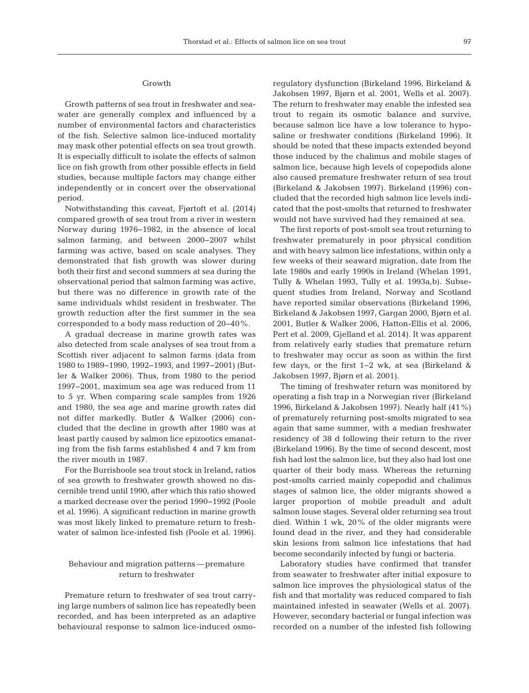## Growth

Growth patterns of sea trout in freshwater and seawater are generally complex and influenced by a number of environmental factors and characteristics of the fish. Selective salmon lice-induced mortality may mask other potential effects on sea trout growth. It is especially difficult to isolate the effects of salmon lice on fish growth from other possible effects in field studies, because multiple factors may change either independently or in concert over the observational period.

Notwithstanding this caveat, Fjørtoft et al. (2014) compared growth of sea trout from a river in western Norway during 1976−1982, in the absence of local salmon farming, and between 2000−2007 whilst farming was active, based on scale analyses. They demonstrated that fish growth was slower during both their first and second summers at sea during the observational period that salmon farming was active, but there was no difference in growth rate of the same individuals whilst resident in freshwater. The growth reduction after the first summer in the sea corresponded to a body mass reduction of 20−40%.

A gradual decrease in marine growth rates was also detected from scale analyses of sea trout from a Scottish river adjacent to salmon farms (data from 1980 to 1989−1990, 1992−1993, and 1997−2001) (Butler & Walker 2006). Thus, from 1980 to the period 1997−2001, maximum sea age was reduced from 11 to 5 yr. When comparing scale samples from 1926 and 1980, the sea age and marine growth rates did not differ markedly. Butler & Walker (2006) concluded that the decline in growth after 1980 was at least partly caused by salmon lice epizootics emanating from the fish farms established 4 and 7 km from the river mouth in 1987.

For the Burrishoole sea trout stock in Ireland, ratios of sea growth to freshwater growth showed no discernible trend until 1990, after which this ratio showed a marked decrease over the period 1990−1992 (Poole et al. 1996). A significant reduction in marine growth was most likely linked to premature return to freshwater of salmon lice-infested fish (Poole et al. 1996).

## Behaviour and migration patterns—premature return to freshwater

Premature return to freshwater of sea trout carrying large numbers of salmon lice has repeatedly been recorded, and has been interpreted as an adaptive behavioural response to salmon lice-induced osmoregulatory dysfunction (Birkeland 1996, Birkeland & Jakobsen 1997, Bjørn et al. 2001, Wells et al. 2007). The return to freshwater may enable the infested sea trout to regain its osmotic balance and survive, because salmon lice have a low tolerance to hyposaline or freshwater conditions (Birkeland 1996). It should be noted that these impacts extended beyond those induced by the chalimus and mobile stages of salmon lice, because high levels of copepodids alone also caused premature freshwater return of sea trout (Birkeland & Jakobsen 1997). Birkeland (1996) concluded that the recorded high salmon lice levels indicated that the post-smolts that returned to freshwater would not have survived had they remained at sea.

The first reports of post-smolt sea trout returning to freshwater prematurely in poor physical condition and with heavy salmon lice infestations, within only a few weeks of their seaward migration, date from the late 1980s and early 1990s in Ireland (Whelan 1991, Tully & Whelan 1993, Tully et al. 1993a,b). Subsequent studies from Ireland, Norway and Scotland have reported similar observations (Birkeland 1996, Birkeland & Jakobsen 1997, Gargan 2000, Bjørn et al. 2001, Butler & Walker 2006, Hatton-Ellis et al. 2006, Pert et al. 2009, Gjelland et al. 2014). It was apparent from relatively early studies that premature return to freshwater may occur as soon as within the first few days, or the first 1−2 wk, at sea (Birkeland & Jakobsen 1997, Bjørn et al. 2001).

The timing of freshwater return was monitored by operating a fish trap in a Norwegian river (Birkeland 1996, Birkeland & Jakobsen 1997). Nearly half (41%) of prematurely returning post-smolts migrated to sea again that same summer, with a median freshwater residency of 38 d following their return to the river (Birkeland 1996). By the time of second descent, most fish had lost the salmon lice, but they also had lost one quarter of their body mass. Whereas the returning post-smolts carried mainly copepodid and chalimus stages of salmon lice, the older migrants showed a larger proportion of mobile preadult and adult salmon louse stages. Several older returning sea trout died. Within 1 wk,  $20\%$  of the older migrants were found dead in the river, and they had considerable skin lesions from salmon lice infestations that had become secondarily infected by fungi or bacteria.

Laboratory studies have confirmed that transfer from seawater to freshwater after initial exposure to salmon lice improves the physiological status of the fish and that mortality was reduced compared to fish maintained infested in seawater (Wells et al. 2007). However, secondary bacterial or fungal infection was recorded on a number of the infested fish following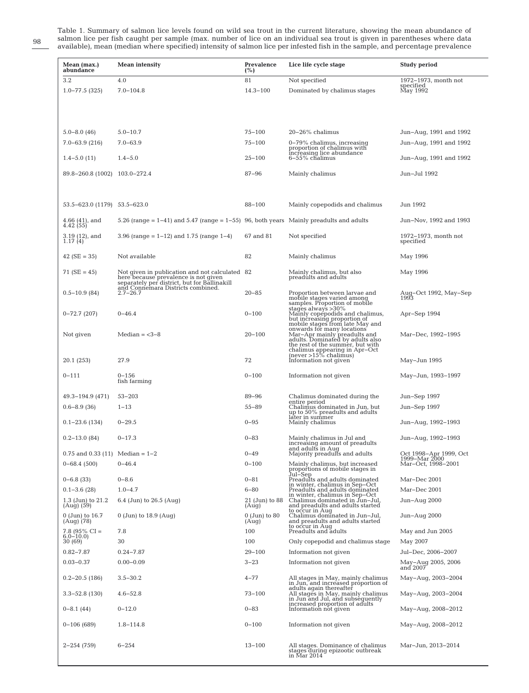Table 1. Summary of salmon lice levels found on wild sea trout in the current literature, showing the mean abundance of salmon lice per fish caught per sample (max. number of lice on an individual sea trout is given in parentheses where data available), mean (median where specified) intensity of salmon lice per infested fish in the sample, and percentage prevalence

| Mean (max.)<br>abundance            | Mean intensity                                                                                                                         | Prevalence<br>(%)                     | Lice life cycle stage                                                                                                                                                                                                                              | Study period                            |
|-------------------------------------|----------------------------------------------------------------------------------------------------------------------------------------|---------------------------------------|----------------------------------------------------------------------------------------------------------------------------------------------------------------------------------------------------------------------------------------------------|-----------------------------------------|
| 3.2                                 | 4.0                                                                                                                                    | 81                                    | Not specified                                                                                                                                                                                                                                      | 1972-1973, month not<br>specified       |
| $1.0 - 77.5$ (325)                  | $7.0 - 104.8$                                                                                                                          | $14.3 - 100$                          | Dominated by chalimus stages                                                                                                                                                                                                                       | May 1992                                |
|                                     |                                                                                                                                        |                                       |                                                                                                                                                                                                                                                    |                                         |
|                                     |                                                                                                                                        |                                       |                                                                                                                                                                                                                                                    |                                         |
|                                     |                                                                                                                                        |                                       |                                                                                                                                                                                                                                                    |                                         |
| $5.0 - 8.0(46)$                     | $5.0 - 10.7$                                                                                                                           | $75 - 100$                            | $20-26%$ chalimus                                                                                                                                                                                                                                  | Jun–Aug, 1991 and 1992                  |
| $7.0 - 63.9(216)$                   | $7.0 - 63.9$                                                                                                                           | $75 - 100$                            | 0-79% chalimus, increasing<br>proportion of chalimus with                                                                                                                                                                                          | Jun-Aug, 1991 and 1992                  |
| $1.4 - 5.0(11)$                     | $1.4 - 5.0$                                                                                                                            | $25 - 100$                            | increasing lice abundance<br>6–55% chalimus                                                                                                                                                                                                        | Jun–Aug, 1991 and 1992                  |
| 89.8-260.8 (1002) 103.0-272.4       |                                                                                                                                        | $87 - 96$                             | Mainly chalimus                                                                                                                                                                                                                                    | Jun-Jul 1992                            |
|                                     |                                                                                                                                        |                                       |                                                                                                                                                                                                                                                    |                                         |
|                                     |                                                                                                                                        |                                       |                                                                                                                                                                                                                                                    |                                         |
| 53.5-623.0 (1179) 53.5-623.0        |                                                                                                                                        | 88-100                                | Mainly copepodids and chalimus                                                                                                                                                                                                                     | Jun 1992                                |
| $4.66(41)$ , and<br>$4.42(55)$      | 5.26 (range $= 1-41$ ) and 5.47 (range $= 1-55$ ) 96, both years Mainly preadults and adults                                           |                                       |                                                                                                                                                                                                                                                    | Jun–Nov, 1992 and 1993                  |
|                                     | 3.96 (range = $1-12$ ) and 1.75 (range $1-4$ )                                                                                         | 67 and 81                             | Not specified                                                                                                                                                                                                                                      | 1972-1973, month not                    |
| $3.19$ (12), and<br>1.17 (4)        |                                                                                                                                        |                                       |                                                                                                                                                                                                                                                    | specified                               |
| 42 ( $SE = 35$ )                    | Not available                                                                                                                          | 82                                    | Mainly chalimus                                                                                                                                                                                                                                    | May 1996                                |
|                                     |                                                                                                                                        |                                       |                                                                                                                                                                                                                                                    |                                         |
| $71(SE = 45)$                       | Not given in publication and not calculated 82<br>here because prevalence is not given<br>separately per district, but for Ballinakill |                                       | Mainly chalimus, but also<br>preadults and adults                                                                                                                                                                                                  | May 1996                                |
| $0.5 - 10.9(84)$                    | and Connemara Districts combined.<br>$2.7 - 26.7$                                                                                      | $20 - 85$                             | Proportion between larvae and                                                                                                                                                                                                                      |                                         |
|                                     |                                                                                                                                        |                                       |                                                                                                                                                                                                                                                    | Aug-Oct 1992, May-Sep<br>1993           |
| $0 - 72.7(207)$                     | $0 - 46.4$                                                                                                                             | $0 - 100$                             | Proportion between larvae and<br>mobile stages varied among<br>samples. Proportion of mobile<br>Mainly copepodids and chalimus,<br>but increasing proportion of<br>mobile stages from late May and<br>onwards for many locations<br>Mar-Apr mainly | Apr-Sep 1994                            |
|                                     |                                                                                                                                        |                                       |                                                                                                                                                                                                                                                    |                                         |
| Not given                           | Median $= <3-8$                                                                                                                        | $20 - 100$                            |                                                                                                                                                                                                                                                    | Mar–Dec, 1992–1995                      |
|                                     |                                                                                                                                        |                                       |                                                                                                                                                                                                                                                    |                                         |
|                                     |                                                                                                                                        |                                       |                                                                                                                                                                                                                                                    |                                         |
| 20.1 (253)                          | 27.9                                                                                                                                   | 72                                    | Information not given                                                                                                                                                                                                                              | May–Jun 1995                            |
| $0 - 111$                           | $0 - 156$<br>fish farming                                                                                                              | $0 - 100$                             | Information not given                                                                                                                                                                                                                              | May–Jun, 1993–1997                      |
|                                     |                                                                                                                                        |                                       |                                                                                                                                                                                                                                                    |                                         |
| $49.3 - 194.9$ (471)                | $53 - 203$                                                                                                                             | $89 - 96$                             | Chalimus dominated during the<br>entire period                                                                                                                                                                                                     | Jun-Sep 1997                            |
| $0.6 - 8.9(36)$                     | $1 - 13$                                                                                                                               | $55 - 89$                             | Chalimus dominated in Jun, but<br>up to 50% preadults and adults                                                                                                                                                                                   | Jun-Sep 1997                            |
| $0.1 - 23.6(134)$                   | $0 - 29.5$                                                                                                                             | $0 - 95$                              | later in summer<br>Mainly chalimus                                                                                                                                                                                                                 | Jun-Aug, 1992-1993                      |
|                                     |                                                                                                                                        |                                       |                                                                                                                                                                                                                                                    |                                         |
| $0.2 - 13.0(84)$                    | $0 - 17.3$                                                                                                                             | $0 - 83$                              | Mainly chalimus in Jul and<br>increasing amount of preadults                                                                                                                                                                                       | Jun-Aug, 1992–1993                      |
| $0.75$ and $0.33$ (11) Median = 1-2 |                                                                                                                                        | $0 - 49$                              | and adults in Aug<br>Majority preadults and adults                                                                                                                                                                                                 | Oct 1998–Apr 1999, Oct<br>1999-Mar 2000 |
| $0 - 68.4(500)$                     | $0 - 46.4$                                                                                                                             | $0 - 100$                             | Mainly chalimus, but increased<br>proportions of mobile stages in<br>Jul–Sep                                                                                                                                                                       | Mar-Oct, 1998-2001                      |
| $0 - 6.8$ (33)                      | $0 - 8.6$                                                                                                                              | $0 - 81$                              |                                                                                                                                                                                                                                                    | Mar-Dec 2001                            |
| $0.1 - 3.6(28)$                     | $1.0 - 4.7$                                                                                                                            | $6 - 80$                              | Preadults and adults dominated<br>in winter, chalimus in Sep-Oct<br>Preadults and adults dominated                                                                                                                                                 | Mar-Dec 2001                            |
| 1.3 (Jun) to 21.2                   | 6.4 (Jun) to $26.5$ (Aug)                                                                                                              | 21 (Jun) to 88                        | in winter, chalimus in Sep-Oct<br>Chalimus dominated in Jun-Jul,<br>and preadults and adults started                                                                                                                                               | Jun-Aug 2000                            |
| (Aug) (59)                          |                                                                                                                                        | (Aug)                                 |                                                                                                                                                                                                                                                    |                                         |
| $0$ (Jun) to $16.7$<br>$(Aug)$ (78) | $0$ (Jun) to 18.9 (Aug)                                                                                                                | $0 \,\mathrm{(Jun)}$ to $80$<br>(Aug) | to occur in Aug<br>Chalimus dominated in Jun-Jul,<br>and preadults and adults started                                                                                                                                                              | Jun-Aug 2000                            |
| $7.8$ (95% CI = 6.0-10.0)           | 7.8                                                                                                                                    | 100                                   | to occur in Aug<br>Preadults and adults                                                                                                                                                                                                            | May and Jun 2005                        |
| 30 (69)                             | 30                                                                                                                                     | 100                                   | Only copepodid and chalimus stage                                                                                                                                                                                                                  | May 2007                                |
| $0.82 - 7.87$                       | $0.24 - 7.87$                                                                                                                          | $29 - 100$                            | Information not given                                                                                                                                                                                                                              | Jul-Dec, 2006-2007                      |
| $0.03 - 0.37$                       | $0.00 - 0.09$                                                                                                                          | $3 - 23$                              | Information not given                                                                                                                                                                                                                              | May–Aug 2005, 2006<br>and 2007          |
| $0.2 - 20.5$ (186)                  | $3.5 - 30.2$                                                                                                                           | $4 - 77$                              |                                                                                                                                                                                                                                                    | May-Aug, 2003-2004                      |
| $3.3 - 52.8$ (130)                  | $4.6 - 52.8$                                                                                                                           | $73 - 100$                            | All stages in May, mainly chalimus<br>in Jun, and increased proportion of<br>adults again thereafter<br>All stages in May, mainly chalimus<br>in Jun and Jul, and subsequently                                                                     |                                         |
|                                     |                                                                                                                                        |                                       |                                                                                                                                                                                                                                                    | May-Aug, 2003-2004                      |
| $0-8.1(44)$                         | $0 - 12.0$                                                                                                                             | $0 - 83$                              | increased proportion of adults<br>Information not given                                                                                                                                                                                            | May-Aug, 2008–2012                      |
| $0-106(689)$                        | $1.8 - 114.8$                                                                                                                          | $0 - 100$                             | Information not given                                                                                                                                                                                                                              | May-Aug, 2008–2012                      |
|                                     |                                                                                                                                        |                                       |                                                                                                                                                                                                                                                    |                                         |
| $2 - 254(759)$                      | $6 - 254$                                                                                                                              | $13 - 100$                            | All stages. Dominance of chalimus<br>stages during epizootic outbreak<br>in Mar 2014                                                                                                                                                               | Mar–Jun, 2013–2014                      |

98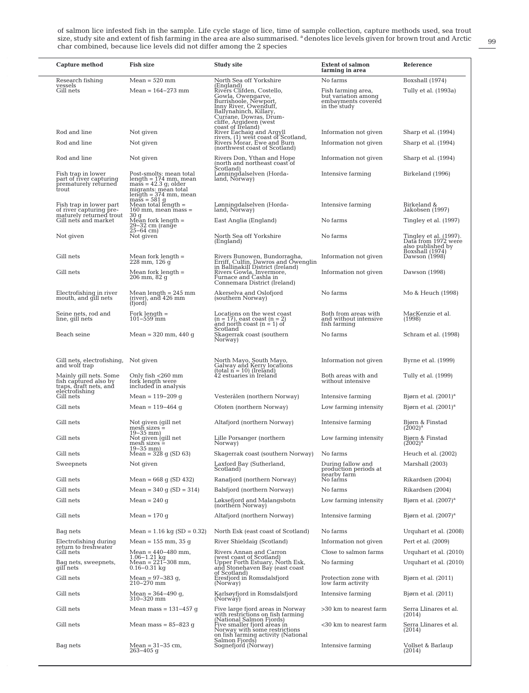of salmon lice infested fish in the sample. Life cycle stage of lice, time of sample collection, capture methods used, sea trout<br>size, study site and extent of fish farming in the area are also summarised. <sup>a</sup> denotes lice char combined, because lice levels did not differ among the 2 species

| Capture method                                                                 | Fish size                                                                                                                                                | <b>Study site</b>                                                                                                                                                                                       | <b>Extent of salmon</b><br>farming in area                                      | Reference                                                                             |
|--------------------------------------------------------------------------------|----------------------------------------------------------------------------------------------------------------------------------------------------------|---------------------------------------------------------------------------------------------------------------------------------------------------------------------------------------------------------|---------------------------------------------------------------------------------|---------------------------------------------------------------------------------------|
| Research fishing<br>vessels                                                    | $Mean = 520$ mm                                                                                                                                          | North Sea off Yorkshire                                                                                                                                                                                 | No farms                                                                        | Boxshall (1974)                                                                       |
| Gill nets                                                                      | $Mean = 164 - 273$ mm                                                                                                                                    | (England)<br>Rivers Clifden, Costello,<br>Gowla, Owengarve,<br>Burrishoole, Newport,<br>Inny River, Owenduff,<br>Ballynahinch, Killary,<br>Currane, Dowras, Drum-<br>cliffe, Argideen (west             | Fish farming area,<br>but variation among<br>embayments covered<br>in the study | Tully et al. (1993a)                                                                  |
| Rod and line                                                                   | Not given                                                                                                                                                | coast of Ireland)<br>River Eachaig and Argyll                                                                                                                                                           | Information not given                                                           | Sharp et al. (1994)                                                                   |
| Rod and line                                                                   | Not given                                                                                                                                                | rivers, (1) west coast of Scotland,<br>Rivers Morar, Ewe and Burn<br>(northwest coast of Scotland)                                                                                                      | Information not given                                                           | Sharp et al. (1994)                                                                   |
| Rod and line                                                                   | Not given                                                                                                                                                | Rivers Don, Ythan and Hope<br>(north and northeast coast of                                                                                                                                             | Information not given                                                           | Sharp et al. (1994)                                                                   |
| Fish trap in lower<br>part of river capturing<br>prematurely returned<br>trout | Post-smolts: mean total<br>length = 174 mm, mean<br>$\overline{\text{mass}} = 42.3 \text{ g}$ ; older<br>migrants: mean total<br>$length = 374$ mm, mean | Scotland)<br>Lønningdalselven (Horda-<br>land, Norway)                                                                                                                                                  | Intensive farming                                                               | Birkeland (1996)                                                                      |
| Fish trap in lower part<br>of river capturing pre-                             | $mass = 581$ g<br>Mean total length =<br>$160$ mm, mean mass $=$<br>30q                                                                                  | Lønningdalselven (Horda-<br>land, Norway)                                                                                                                                                               | Intensive farming                                                               | Birkeland &<br>Jakobsen (1997)                                                        |
| maturely returned trout<br>Gill nets and market                                | Mean fork length $=$<br>29-32 cm (range<br>$25 - 64$ cm)                                                                                                 | East Anglia (England)                                                                                                                                                                                   | No farms                                                                        | Tingley et al. (1997)                                                                 |
| Not given                                                                      | Not given                                                                                                                                                | North Sea off Yorkshire<br>(England)                                                                                                                                                                    | No farms                                                                        | Tingley et al. (1997).<br>Data from 1972 were<br>also published by<br>Boxshall (1974) |
| Gill nets                                                                      | Mean fork length =<br>228 mm, 126 g                                                                                                                      | Rivers Bunowen, Bundorragha,<br>Erriff, Culfin, Dawros and Owenglin<br>in Ballinakill District (Ireland)                                                                                                | Information not given                                                           | Dawson (1998)                                                                         |
| Gill nets                                                                      | Mean fork length $=$<br>206 mm, 82 g                                                                                                                     | Rivers Gowla, Invermore,<br>Furnace and Cashla in<br>Connemara District (Ireland)                                                                                                                       | Information not given                                                           | Dawson (1998)                                                                         |
| Electrofishing in river<br>mouth, and gill nets                                | Mean length $= 245$ mm<br>(river), and 426 mm<br>(fjord)                                                                                                 | Akerselva and Oslofjord<br>(southern Norway)                                                                                                                                                            | No farms                                                                        | Mo & Heuch (1998)                                                                     |
| Seine nets, rod and<br>line, gill nets                                         | Fork length $=$<br>$101 - 559$ mm                                                                                                                        | Locations on the west coast<br>$(n = 17)$ , east coast $(n = 2)$<br>and north coast $(n = 1)$ of                                                                                                        | Both from areas with<br>and without intensive<br>fish farming                   | MacKenzie et al.<br>(1998)                                                            |
| Beach seine                                                                    | Mean = $320 \text{ mm}$ , $440 \text{ q}$                                                                                                                | Scotland<br>Skagerrak coast (southern<br>Norway)                                                                                                                                                        | No farms                                                                        | Schram et al. (1998)                                                                  |
| Gill nets, electrofishing,<br>and wolf trap                                    | Not given                                                                                                                                                | North Mayo, South Mayo,<br>Galway and Kerry locations                                                                                                                                                   | Information not given                                                           | Byrne et al. (1999)                                                                   |
| Mainly gill nets. Some<br>fish captured also by<br>traps, draft nets, and      | Only fish <260 mm<br>fork length were<br>included in analysis                                                                                            | $(total n = 10)$ (Ireland)<br>42 estuaries in Ireland                                                                                                                                                   | Both areas with and<br>without intensive                                        | Tully et al. (1999)                                                                   |
| electrofishing<br>Gill nets                                                    | Mean = $119 - 209$ q                                                                                                                                     | Vesterålen (northern Norway)                                                                                                                                                                            | Intensive farming                                                               | Bjørn et al. $(2001)^a$                                                               |
| Gill nets                                                                      | Mean = 119–464 q                                                                                                                                         | Ofoten (northern Norway)                                                                                                                                                                                | Low farming intensity                                                           | Bjørn et al. $(2001)^a$                                                               |
| Gill nets                                                                      | Not given (gill net<br>$mesh$ sizes $=$                                                                                                                  | Altafjord (northern Norway)                                                                                                                                                                             | Intensive farming                                                               | Bjørn & Finstad<br>$(2002)^{a}$                                                       |
| Gill nets                                                                      | $19 - 35$ mm)<br>Not given (gill net<br>mesh sizes =                                                                                                     | Lille Porsanger (northern)<br>Norway).                                                                                                                                                                  | Low farming intensity                                                           | Bjørn & Finstad<br>$(2002)^{a}$                                                       |
| Gill nets                                                                      | $19 - 35$ mm)<br>Mean = $328$ q (SD 63)                                                                                                                  | Skagerrak coast (southern Norway)                                                                                                                                                                       | No farms                                                                        | Heuch et al. (2002)                                                                   |
| Sweepnets                                                                      | Not given                                                                                                                                                | Laxford Bay (Sutherland,<br>Scotland)                                                                                                                                                                   | During fallow and<br>production periods at<br>nearby farm                       | Marshall (2003)                                                                       |
| Gill nets                                                                      | Mean = $668$ g (SD 432)                                                                                                                                  | Ranafjord (northern Norway)                                                                                                                                                                             | No farms                                                                        | Rikardsen (2004)                                                                      |
| Gill nets                                                                      | Mean = $340$ q (SD = $314$ )                                                                                                                             | Balsfjord (northern Norway)                                                                                                                                                                             | No farms                                                                        | Rikardsen (2004)                                                                      |
| Gill nets                                                                      | Mean = $240$ g                                                                                                                                           | Løksefjord and Malangsbotn<br>(northern Norway)                                                                                                                                                         | Low farming intensity                                                           | Bjørn et al. $(2007)^a$                                                               |
| Gill nets                                                                      | Mean = $170q$                                                                                                                                            | Altafjord (northern Norway)                                                                                                                                                                             | Intensive farming                                                               | Bjørn et al. $(2007)^a$                                                               |
| Bag nets                                                                       | Mean = $1.16$ kg (SD = 0.32)                                                                                                                             | North Esk (east coast of Scotland)                                                                                                                                                                      | No farms                                                                        | Urquhart et al. (2008)                                                                |
| Electrofishing during<br>return to freshwater                                  | Mean = $155$ mm, $35$ q                                                                                                                                  | River Shieldaig (Scotland)                                                                                                                                                                              | Information not given                                                           | Pert et al. (2009)                                                                    |
| Gill nets<br>Bag nets, sweepnets,<br>qill nets                                 | Mean = $440 - 480$ mm,<br>$1.06-1.21 \text{ kg}$<br>Mean = 221-308 mm,<br>0.16-0.31 kg                                                                   | Rivers Annan and Carron<br>The Stock of Scotland)<br>Upper Forth Estuary, North Esk,<br>and Stonehaven Bay (east coast                                                                                  | Close to salmon farms<br>No farming                                             | Urquhart et al. (2010)<br>Urquhart et al. (2010)                                      |
| Gill nets                                                                      | Mean = $97 - 383$ g,<br>210–270 mm                                                                                                                       | of Scotland)<br>Eresfjord in Romsdalsfjord<br>(Norway)                                                                                                                                                  | Protection zone with<br>low farm activity                                       | Bjørn et al. (2011)                                                                   |
| Gill nets                                                                      | Mean = $364 - 490$ g,<br>310-320 mm                                                                                                                      | Karlsøyfjord in Romsdalsfjord<br>(Norway)                                                                                                                                                               | Intensive farming                                                               | Bjørn et al. (2011)                                                                   |
| Gill nets                                                                      | Mean mass = 131–457 q                                                                                                                                    |                                                                                                                                                                                                         | >30 km to nearest farm                                                          | Serra Llinares et al.<br>(2014)                                                       |
| Gill nets                                                                      | Mean mass = $85-823$ g                                                                                                                                   | Five large fjord areas in Norway<br>with restrictions on fish farming<br>(National Salmon Fjords)<br>Five smaller fjord areas in<br>Norway with some restrictions<br>on fish farming activity (National | <30 km to nearest farm                                                          | Serra Llinares et al.<br>(2014)                                                       |
| Bag nets                                                                       | Mean = $31 - 35$ cm,<br>263–405 g                                                                                                                        | Salmon Fjords)<br>Sognefjord (Nórway)                                                                                                                                                                   | Intensive farming                                                               | Vollset & Barlaup<br>(2014)                                                           |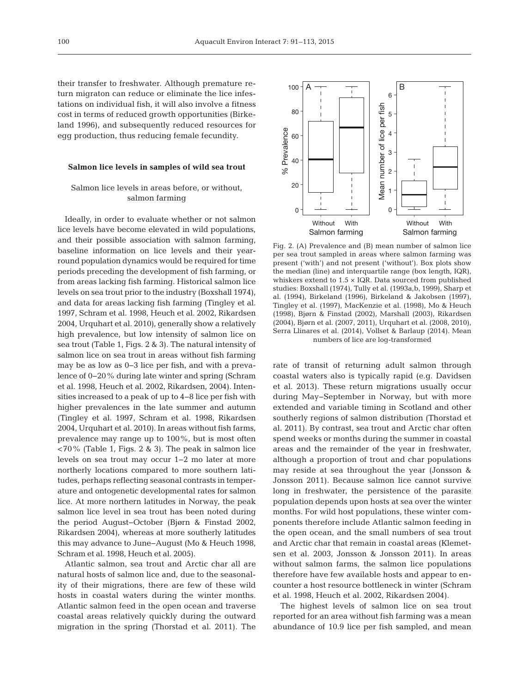their transfer to freshwater. Although premature re turn migraton can reduce or eliminate the lice infestations on individual fish, it will also involve a fitness cost in terms of reduced growth opportunities (Birkeland 1996), and subsequently reduced resources for egg production, thus reducing female fecundity.

## **Salmon lice levels in samples of wild sea trout**

# Salmon lice levels in areas before, or without, salmon farming

Ideally, in order to evaluate whether or not salmon lice levels have become elevated in wild populations, and their possible association with salmon farming, baseline information on lice levels and their yearround population dynamics would be required for time periods preceding the development of fish farming, or from areas lacking fish farming. Historical salmon lice levels on sea trout prior to the industry (Boxshall 1974), and data for areas lacking fish farming (Tingley et al. 1997, Schram et al. 1998, Heuch et al. 2002, Rikardsen 2004, Urquhart et al. 2010), generally show a relatively high prevalence, but low intensity of salmon lice on sea trout (Table 1, Figs. 2 & 3). The natural intensity of salmon lice on sea trout in areas without fish farming may be as low as 0−3 lice per fish, and with a prevalence of 0−20% during late winter and spring (Schram et al. 1998, Heuch et al. 2002, Rikardsen, 2004). Intensities increased to a peak of up to 4−8 lice per fish with higher prevalences in the late summer and autumn (Tingley et al. 1997, Schram et al. 1998, Rikardsen 2004, Urquhart et al. 2010). In areas without fish farms, prevalence may range up to 100%, but is most often <70% (Table 1, Figs. 2 & 3). The peak in salmon lice levels on sea trout may occur 1−2 mo later at more northerly locations compared to more southern latitudes, perhaps reflecting seasonal contrasts in temperature and ontogenetic developmental rates for salmon lice. At more northern latitudes in Norway, the peak salmon lice level in sea trout has been noted during the period August−October (Bjørn & Finstad 2002, Rikardsen 2004), whereas at more southerly latitudes this may advance to June−August (Mo & Heuch 1998, Schram et al. 1998, Heuch et al. 2005).

Atlantic salmon, sea trout and Arctic char all are natural hosts of salmon lice and, due to the seasonality of their migrations, there are few of these wild hosts in coastal waters during the winter months. Atlantic salmon feed in the open ocean and traverse coastal areas relatively quickly during the outward migration in the spring (Thorstad et al. 2011). The



Fig. 2. (A) Prevalence and (B) mean number of salmon lice per sea trout sampled in areas where salmon farming was present ('with') and not present ('without'). Box plots show the median (line) and interquartile range (box length, IQR), whiskers extend to  $1.5 \times$  IQR. Data sourced from published studies: Boxshall (1974), Tully et al. (1993a,b, 1999), Sharp et al. (1994), Birkeland (1996), Birkeland & Jakobsen (1997), Tingley et al. (1997), MacKenzie et al. (1998), Mo & Heuch (1998), Bjørn & Finstad (2002), Marshall (2003), Rikardsen (2004), Bjørn et al. (2007, 2011), Urquhart et al. (2008, 2010), Serra Llinares et al. (2014), Vollset & Barlaup (2014). Mean numbers of lice are log-transformed

rate of transit of returning adult salmon through coastal waters also is typically rapid (e.g. Davidsen et al. 2013). These return migrations usually occur during May−September in Norway, but with more extended and variable timing in Scotland and other southerly regions of salmon distribution (Thorstad et al. 2011). By contrast, sea trout and Arctic char often spend weeks or months during the summer in coastal areas and the remainder of the year in freshwater, although a proportion of trout and char populations may reside at sea throughout the year (Jonsson & Jonsson 2011). Because salmon lice cannot survive long in freshwater, the persistence of the parasite population depends upon hosts at sea over the winter months. For wild host populations, these winter components therefore include Atlantic salmon feeding in the open ocean, and the small numbers of sea trout and Arctic char that remain in coastal areas (Klemetsen et al. 2003, Jonsson & Jonsson 2011). In areas without salmon farms, the salmon lice populations therefore have few available hosts and appear to encounter a host resource bottleneck in winter (Schram et al. 1998, Heuch et al. 2002, Rikardsen 2004).

The highest levels of salmon lice on sea trout reported for an area without fish farming was a mean abundance of 10.9 lice per fish sampled, and mean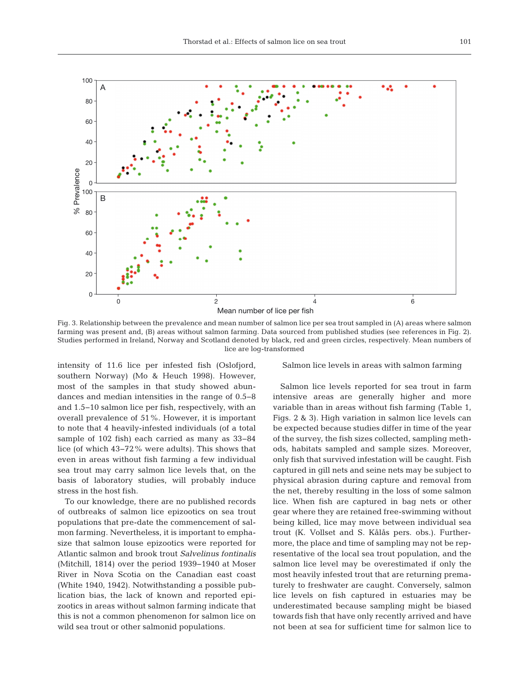

Fig. 3. Relationship between the prevalence and mean number of salmon lice per sea trout sampled in (A) areas where salmon farming was present and, (B) areas without salmon farming. Data sourced from published studies (see references in Fig. 2). Studies performed in Ireland, Norway and Scotland denoted by black, red and green circles, respectively. Mean numbers of lice are log-transformed

intensity of 11.6 lice per infested fish (Oslofjord, southern Norway) (Mo & Heuch 1998). However, most of the samples in that study showed abundances and median intensities in the range of 0.5−8 and 1.5−10 salmon lice per fish, respectively, with an overall prevalence of 51%. However, it is important to note that 4 heavily-infested individuals (of a total sample of 102 fish) each carried as many as 33−84 lice (of which 43−72% were adults). This shows that even in areas without fish farming a few individual sea trout may carry salmon lice levels that, on the basis of laboratory studies, will probably induce stress in the host fish.

To our knowledge, there are no published records of outbreaks of salmon lice epizootics on sea trout populations that pre-date the commencement of sal mon farming. Nevertheless, it is important to emphasize that salmon louse epizootics were reported for Atlantic salmon and brook trout *Salvelinus fontinalis* (Mitchill, 1814) over the period 1939−1940 at Moser River in Nova Scotia on the Canadian east coast (White 1940, 1942). Notwithstanding a possible publication bias, the lack of known and reported epizootics in areas without salmon farming indicate that this is not a common phenomenon for salmon lice on wild sea trout or other salmonid populations.

Salmon lice levels in areas with salmon farming

Salmon lice levels reported for sea trout in farm intensive areas are generally higher and more variable than in areas without fish farming (Table 1, Figs. 2 & 3). High variation in salmon lice levels can be expected because studies differ in time of the year of the survey, the fish sizes collected, sampling methods, habitats sampled and sample sizes. Moreover, only fish that survived infestation will be caught. Fish captured in gill nets and seine nets may be subject to physical abrasion during capture and removal from the net, thereby resulting in the loss of some salmon lice. When fish are captured in bag nets or other gear where they are retained free-swimming without being killed, lice may move between individual sea trout (K. Vollset and S. Kålås pers. obs.). Furthermore, the place and time of sampling may not be representative of the local sea trout population, and the salmon lice level may be overestimated if only the most heavily infested trout that are returning prematurely to freshwater are caught. Conversely, salmon lice levels on fish captured in estuaries may be underestimated because sampling might be biased towards fish that have only recently arrived and have not been at sea for sufficient time for salmon lice to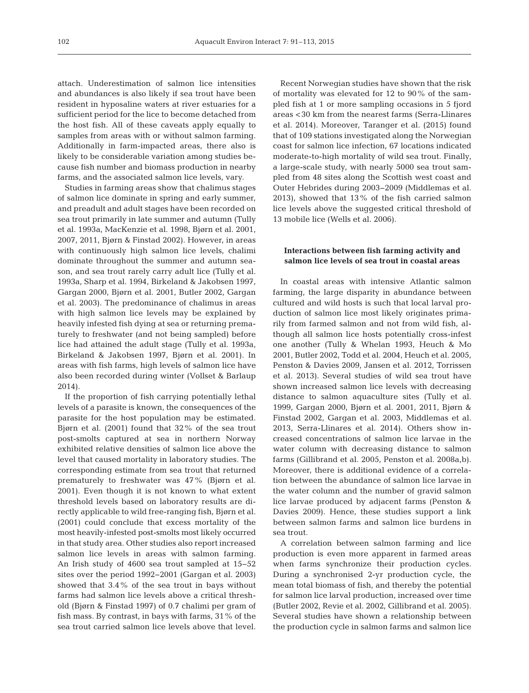attach. Underestimation of salmon lice intensities and abundances is also likely if sea trout have been resident in hyposaline waters at river estuaries for a sufficient period for the lice to become detached from the host fish. All of these caveats apply equally to samples from areas with or without salmon farming. Additionally in farm-impacted areas, there also is likely to be considerable variation among studies be cause fish number and biomass production in nearby farms, and the associated salmon lice levels, vary.

Studies in farming areas show that chalimus stages of salmon lice dominate in spring and early summer, and preadult and adult stages have been recorded on sea trout primarily in late summer and autumn (Tully et al. 1993a, MacKenzie et al. 1998, Bjørn et al. 2001, 2007, 2011, Bjørn & Finstad 2002). However, in areas with continuously high salmon lice levels, chalimi dominate throughout the summer and autumn season, and sea trout rarely carry adult lice (Tully et al. 1993a, Sharp et al. 1994, Birkeland & Jakobsen 1997, Gargan 2000, Bjørn et al. 2001, Butler 2002, Gargan et al. 2003). The predominance of chalimus in areas with high salmon lice levels may be explained by heavily infested fish dying at sea or returning prematurely to freshwater (and not being sampled) before lice had attained the adult stage (Tully et al. 1993a, Birkeland & Jakobsen 1997, Bjørn et al. 2001). In areas with fish farms, high levels of salmon lice have also been recorded during winter (Vollset & Barlaup 2014).

If the proportion of fish carrying potentially lethal levels of a parasite is known, the consequences of the parasite for the host population may be estimated. Bjørn et al. (2001) found that 32% of the sea trout post-smolts captured at sea in northern Norway exhibited relative densities of salmon lice above the level that caused mortality in laboratory studies. The corresponding estimate from sea trout that returned prematurely to freshwater was 47% (Bjørn et al. 2001). Even though it is not known to what extent threshold levels based on laboratory results are directly applicable to wild free-ranging fish, Bjørn et al. (2001) could conclude that excess mortality of the most heavily-infested post-smolts most likely oc curred in that study area. Other studies also report increased salmon lice levels in areas with salmon farming. An Irish study of 4600 sea trout sampled at 15−52 sites over the period 1992−2001 (Gargan et al. 2003) showed that 3.4% of the sea trout in bays without farms had salmon lice levels above a critical threshold (Bjørn & Finstad 1997) of 0.7 chalimi per gram of fish mass. By contrast, in bays with farms, 31% of the sea trout carried salmon lice levels above that level.

Recent Norwegian studies have shown that the risk of mortality was elevated for 12 to 90% of the sampled fish at 1 or more sampling occasions in 5 fjord areas <30 km from the nearest farms (Serra-Llinares et al. 2014). Moreover, Taranger et al. (2015) found that of 109 stations investigated along the Norwegian coast for salmon lice infection, 67 locations indicated moderate-to-high mortality of wild sea trout. Finally, a large-scale study, with nearly 5000 sea trout sampled from 48 sites along the Scottish west coast and Outer Hebrides during 2003−2009 (Middlemas et al. 2013), showed that 13% of the fish carried salmon lice levels above the suggested critical threshold of 13 mobile lice (Wells et al. 2006).

## **Interactions between fish farming activity and salmon lice levels of sea trout in coastal areas**

In coastal areas with intensive Atlantic salmon farming, the large disparity in abundance between cultured and wild hosts is such that local larval production of salmon lice most likely originates primarily from farmed salmon and not from wild fish, although all salmon lice hosts potentially cross-infest one another (Tully & Whelan 1993, Heuch & Mo 2001, Butler 2002, Todd et al. 2004, Heuch et al. 2005, Penston & Davies 2009, Jansen et al. 2012, Torrissen et al. 2013). Several studies of wild sea trout have shown increased salmon lice levels with decreasing distance to salmon aquaculture sites (Tully et al. 1999, Gargan 2000, Bjørn et al. 2001, 2011, Bjørn & Finstad 2002, Gargan et al. 2003, Middlemas et al. 2013, Serra-Llinares et al. 2014). Others show increased concentrations of salmon lice larvae in the water column with decreasing distance to salmon farms (Gillibrand et al. 2005, Penston et al. 2008a,b). Moreover, there is additional evidence of a correlation between the abundance of salmon lice larvae in the water column and the number of gravid salmon lice larvae produced by adjacent farms (Penston & Davies 2009). Hence, these studies support a link between salmon farms and salmon lice burdens in sea trout.

A correlation between salmon farming and lice production is even more apparent in farmed areas when farms synchronize their production cycles. During a synchronised 2-yr production cycle, the mean total biomass of fish, and thereby the potential for salmon lice larval production, increased over time (Butler 2002, Revie et al. 2002, Gillibrand et al. 2005). Several studies have shown a relationship between the production cycle in salmon farms and salmon lice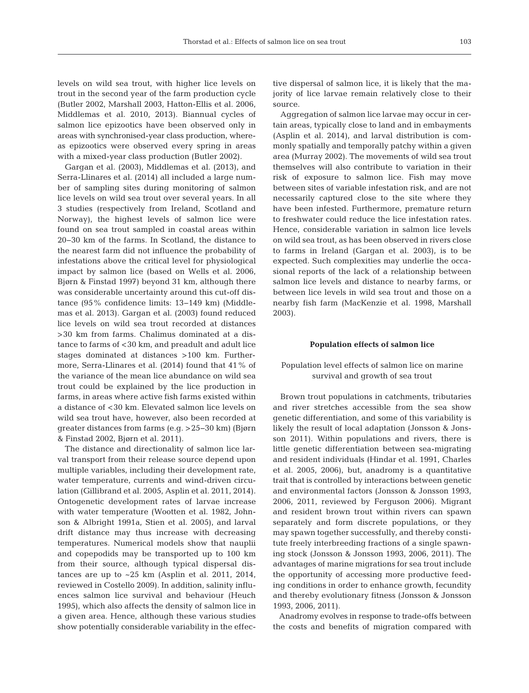levels on wild sea trout, with higher lice levels on trout in the second year of the farm production cycle (Butler 2002, Marshall 2003, Hatton-Ellis et al. 2006, Middlemas et al. 2010, 2013). Biannual cycles of salmon lice epizootics have been observed only in areas with synchronised-year class production, where as epizootics were observed every spring in areas with a mixed-year class production (Butler 2002).

Gargan et al. (2003), Middlemas et al. (2013), and Serra-Llinares et al. (2014) all included a large number of sampling sites during monitoring of salmon lice levels on wild sea trout over several years. In all 3 studies (respectively from Ireland, Scotland and Norway), the highest levels of salmon lice were found on sea trout sampled in coastal areas within 20−30 km of the farms. In Scotland, the distance to the nearest farm did not influence the probability of infestations above the critical level for physiological impact by salmon lice (based on Wells et al. 2006, Bjørn & Finstad 1997) beyond 31 km, although there was considerable uncertainty around this cut-off distance (95% confidence limits: 13−149 km) (Middlemas et al. 2013). Gargan et al. (2003) found reduced lice levels on wild sea trout recorded at distances >30 km from farms. Chalimus dominated at a distance to farms of <30 km, and preadult and adult lice stages dominated at distances >100 km. Furthermore, Serra-Llinares et al. (2014) found that 41% of the variance of the mean lice abundance on wild sea trout could be explained by the lice production in farms, in areas where active fish farms existed within a distance of <30 km. Elevated salmon lice levels on wild sea trout have, however, also been recorded at greater distances from farms (e.g. >25−30 km) (Bjørn & Finstad 2002, Bjørn et al. 2011).

The distance and directionality of salmon lice larval transport from their release source depend upon multiple variables, including their development rate, water temperature, currents and wind-driven circulation (Gillibrand et al. 2005, Asplin et al. 2011, 2014). Ontogenetic development rates of larvae increase with water temperature (Wootten et al. 1982, Johnson & Albright 1991a, Stien et al. 2005), and larval drift distance may thus increase with decreasing temperatures. Numerical models show that nauplii and copepodids may be transported up to 100 km from their source, although typical dispersal distances are up to ~25 km (Asplin et al. 2011, 2014, reviewed in Costello 2009). In addition, salinity influences salmon lice survival and behaviour (Heuch 1995), which also affects the density of salmon lice in a given area. Hence, although these various studies show potentially considerable variability in the effec-

tive dispersal of salmon lice, it is likely that the majority of lice larvae remain relatively close to their source.

Aggregation of salmon lice larvae may occur in certain areas, typically close to land and in embayments (Asplin et al. 2014), and larval distribution is commonly spatially and temporally patchy within a given area (Murray 2002). The movements of wild sea trout themselves will also contribute to variation in their risk of exposure to salmon lice. Fish may move between sites of variable infestation risk, and are not necessarily captured close to the site where they have been infested. Furthermore, premature return to freshwater could reduce the lice infestation rates. Hence, considerable variation in salmon lice levels on wild sea trout, as has been observed in rivers close to farms in Ireland (Gargan et al. 2003), is to be expected. Such complexities may underlie the occasional reports of the lack of a relationship between salmon lice levels and distance to nearby farms, or between lice levels in wild sea trout and those on a nearby fish farm (MacKenzie et al. 1998, Marshall 2003).

#### **Population effects of salmon lice**

## Population level effects of salmon lice on marine survival and growth of sea trout

Brown trout populations in catchments, tributaries and river stretches accessible from the sea show genetic differentiation, and some of this variability is likely the result of local adaptation (Jonsson & Jonsson 2011). Within populations and rivers, there is little genetic differentiation between sea-migrating and resident individuals (Hindar et al. 1991, Charles et al. 2005, 2006), but, anadromy is a quantitative trait that is controlled by interactions between genetic and environmental factors (Jonsson & Jonsson 1993, 2006, 2011, reviewed by Ferguson 2006). Migrant and resident brown trout within rivers can spawn separately and form discrete populations, or they may spawn together successfully, and thereby constitute freely interbreeding fractions of a single spawning stock (Jonsson & Jonsson 1993, 2006, 2011). The advantages of marine migrations for sea trout include the opportunity of accessing more productive feeding conditions in order to enhance growth, fecundity and thereby evolutionary fitness (Jonsson & Jonsson 1993, 2006, 2011).

Anadromy evolves in response to trade-offs between the costs and benefits of migration compared with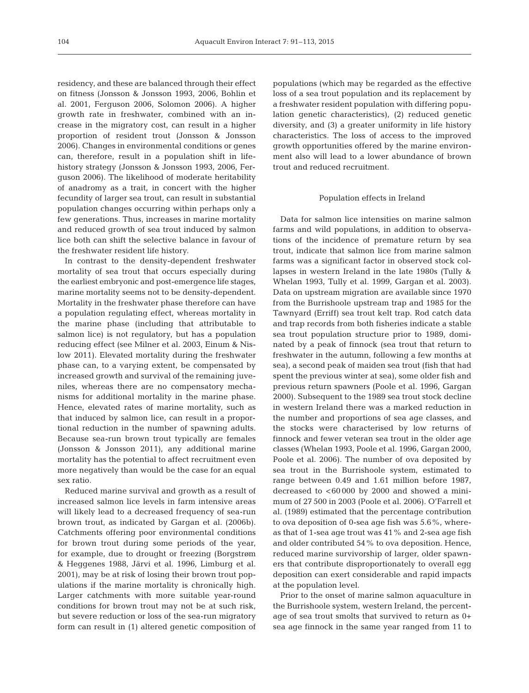residency, and these are balanced through their effect on fitness (Jonsson & Jonsson 1993, 2006, Bohlin et al. 2001, Ferguson 2006, Solomon 2006). A higher growth rate in freshwater, combined with an increase in the migratory cost, can result in a higher proportion of resident trout (Jonsson & Jonsson 2006). Changes in environmental conditions or genes can, therefore, result in a population shift in lifehistory strategy (Jonsson & Jonsson 1993, 2006, Ferguson 2006). The likelihood of moderate heritability of anadromy as a trait, in concert with the higher fecundity of larger sea trout, can result in substantial population changes occurring within perhaps only a few generations. Thus, increases in marine mortality and reduced growth of sea trout induced by salmon lice both can shift the selective balance in favour of the freshwater resident life history.

In contrast to the density-dependent freshwater mortality of sea trout that occurs especially during the earliest embryonic and post-emergence life stages, marine mortality seems not to be density-dependent. Mortality in the freshwater phase therefore can have a population regulating effect, whereas mortality in the marine phase (including that attributable to salmon lice) is not regulatory, but has a population reducing effect (see Milner et al. 2003, Einum & Nislow 2011). Elevated mortality during the freshwater phase can, to a varying extent, be compensated by increased growth and survival of the remaining juveniles, whereas there are no compensatory mechanisms for additional mortality in the marine phase. Hence, elevated rates of marine mortality, such as that induced by salmon lice, can result in a proportional reduction in the number of spawning adults. Because sea-run brown trout typically are females (Jonsson & Jonsson 2011), any additional marine mortality has the potential to affect recruitment even more negatively than would be the case for an equal sex ratio.

Reduced marine survival and growth as a result of increased salmon lice levels in farm intensive areas will likely lead to a decreased frequency of sea-run brown trout, as indicated by Gargan et al. (2006b). Catchments offering poor environmental conditions for brown trout during some periods of the year, for example, due to drought or freezing (Borgstrøm & Heggenes 1988, Järvi et al. 1996, Limburg et al. 2001), may be at risk of losing their brown trout populations if the marine mortality is chronically high. Larger catchments with more suitable year-round conditions for brown trout may not be at such risk, but severe reduction or loss of the sea-run migratory form can result in (1) altered genetic composition of

populations (which may be regarded as the effective loss of a sea trout population and its replacement by a freshwater resident population with differing population genetic characteristics), (2) reduced genetic diversity, and (3) a greater uniformity in life history characteristics. The loss of access to the improved growth opportunities offered by the marine environment also will lead to a lower abundance of brown trout and reduced recruitment.

#### Population effects in Ireland

Data for salmon lice intensities on marine salmon farms and wild populations, in addition to observations of the incidence of premature return by sea trout, indicate that salmon lice from marine salmon farms was a significant factor in observed stock collapses in western Ireland in the late 1980s (Tully & Whelan 1993, Tully et al. 1999, Gargan et al. 2003). Data on upstream migration are available since 1970 from the Burrishoole upstream trap and 1985 for the Tawnyard (Erriff) sea trout kelt trap. Rod catch data and trap records from both fisheries indicate a stable sea trout population structure prior to 1989, dominated by a peak of finnock (sea trout that return to freshwater in the autumn, following a few months at sea), a second peak of maiden sea trout (fish that had spent the previous winter at sea), some older fish and previous return spawners (Poole et al. 1996, Gargan 2000). Subsequent to the 1989 sea trout stock decline in western Ireland there was a marked reduction in the number and proportions of sea age classes, and the stocks were characterised by low returns of finnock and fewer veteran sea trout in the older age classes (Whelan 1993, Poole et al. 1996, Gargan 2000, Poole et al. 2006). The number of ova deposited by sea trout in the Burrishoole system, estimated to range between 0.49 and 1.61 million before 1987, decreased to  $< 60 000$  by 2000 and showed a minimum of 27 500 in 2003 (Poole et al. 2006). O'Farrell et al. (1989) estimated that the percentage contribution to ova deposition of 0-sea age fish was  $5.6\%$ , whereas that of 1-sea age trout was 41% and 2-sea age fish and older contributed 54% to ova deposition. Hence, reduced marine survivorship of larger, older spawners that contribute disproportionately to overall egg deposition can exert considerable and rapid impacts at the population level.

Prior to the onset of marine salmon aquaculture in the Burrishoole system, western Ireland, the percentage of sea trout smolts that survived to return as 0+ sea age finnock in the same year ranged from 11 to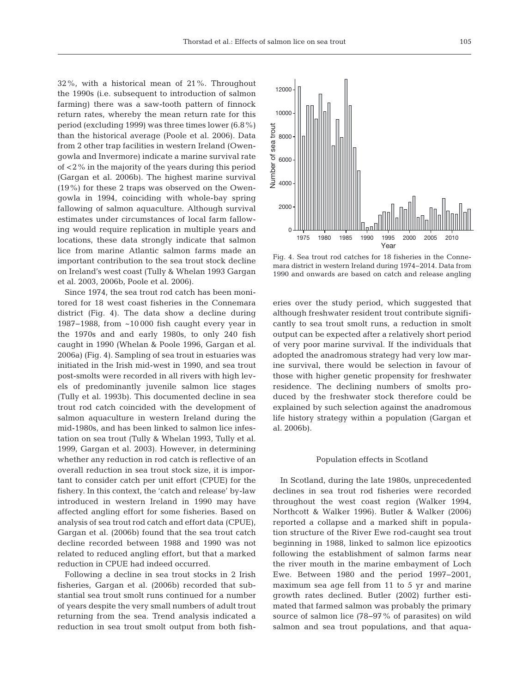32%, with a historical mean of 21%. Throughout the 1990s (i.e. subsequent to introduction of salmon farming) there was a saw-tooth pattern of finnock return rates, whereby the mean return rate for this period (excluding 1999) was three times lower (6.8%) than the historical average (Poole et al. 2006). Data from 2 other trap facilities in western Ireland (Owengowla and Invermore) indicate a marine survival rate of <2% in the majority of the years during this period (Gargan et al. 2006b). The highest marine survival (19%) for these 2 traps was observed on the Owengowla in 1994, coinciding with whole-bay spring fallowing of salmon aquaculture. Although survival estimates under circumstances of local farm fallowing would require replication in multiple years and locations, these data strongly indicate that salmon lice from marine Atlantic salmon farms made an important contribution to the sea trout stock decline on Ireland's west coast (Tully & Whelan 1993 Gargan et al. 2003, 2006b, Poole et al. 2006).

Since 1974, the sea trout rod catch has been monitored for 18 west coast fisheries in the Connemara district (Fig. 4). The data show a decline during 1987−1988, from ~10 000 fish caught every year in the 1970s and and early 1980s, to only 240 fish caught in 1990 (Whelan & Poole 1996, Gargan et al. 2006a) (Fig. 4). Sampling of sea trout in estuaries was initiated in the Irish mid-west in 1990, and sea trout post-smolts were recorded in all rivers with high levels of predominantly juvenile salmon lice stages (Tully et al. 1993b). This documented decline in sea trout rod catch coincided with the development of salmon aquaculture in western Ireland during the mid-1980s, and has been linked to salmon lice infestation on sea trout (Tully & Whelan 1993, Tully et al. 1999, Gargan et al. 2003). However, in determining whether any reduction in rod catch is reflective of an overall reduction in sea trout stock size, it is important to consider catch per unit effort (CPUE) for the fishery. In this context, the 'catch and release' by-law introduced in western Ireland in 1990 may have affected angling effort for some fisheries. Based on analysis of sea trout rod catch and effort data (CPUE), Gargan et al. (2006b) found that the sea trout catch decline recorded between 1988 and 1990 was not related to reduced angling effort, but that a marked reduction in CPUE had indeed occurred.

Following a decline in sea trout stocks in 2 Irish fisheries, Gargan et al. (2006b) recorded that substantial sea trout smolt runs continued for a number of years despite the very small numbers of adult trout returning from the sea. Trend analysis indicated a reduction in sea trout smolt output from both fish-



Fig. 4. Sea trout rod catches for 18 fisheries in the Connemara district in western Ireland during 1974−2014. Data from 1990 and onwards are based on catch and release angling

eries over the study period, which suggested that although freshwater resident trout contribute significantly to sea trout smolt runs, a reduction in smolt output can be expected after a relatively short period of very poor marine survival. If the individuals that adopted the anadromous strategy had very low marine survival, there would be selection in favour of those with higher genetic propensity for freshwater residence. The declining numbers of smolts produced by the freshwater stock therefore could be explained by such selection against the anadromous life history strategy within a population (Gargan et al. 2006b).

#### Population effects in Scotland

In Scotland, during the late 1980s, unprecedented declines in sea trout rod fisheries were recorded throughout the west coast region (Walker 1994, Northcott & Walker 1996). Butler & Walker (2006) reported a collapse and a marked shift in population structure of the River Ewe rod-caught sea trout beginning in 1988, linked to salmon lice epizootics following the establishment of salmon farms near the river mouth in the marine embayment of Loch Ewe. Between 1980 and the period 1997−2001, maximum sea age fell from 11 to 5 yr and marine growth rates declined. Butler (2002) further estimated that farmed salmon was probably the primary source of salmon lice (78−97% of parasites) on wild salmon and sea trout populations, and that aqua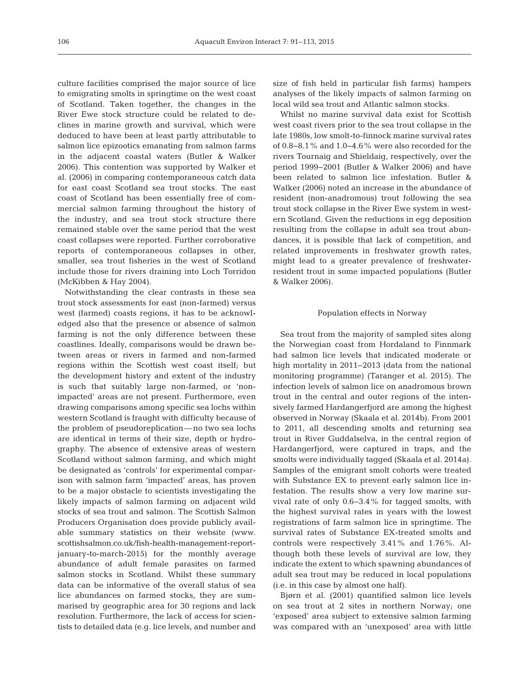culture facilities comprised the major source of lice to emigrating smolts in springtime on the west coast of Scotland. Taken together, the changes in the River Ewe stock structure could be related to declines in marine growth and survival, which were deduced to have been at least partly attributable to salmon lice epizootics emanating from salmon farms in the adjacent coastal waters (Butler & Walker 2006). This contention was supported by Walker et al. (2006) in comparing contemporaneous catch data for east coast Scotland sea trout stocks. The east coast of Scotland has been essentially free of commercial salmon farming throughout the history of the industry, and sea trout stock structure there remained stable over the same period that the west coast collapses were reported. Further corroborative reports of contemporaneous collapses in other, smaller, sea trout fisheries in the west of Scotland include those for rivers draining into Loch Torridon (McKibben & Hay 2004).

Notwithstanding the clear contrasts in these sea trout stock assessments for east (non-farmed) versus west (farmed) coasts regions, it has to be acknowledged also that the presence or absence of salmon farming is not the only difference between these coastlines. Ideally, comparisons would be drawn be tween areas or rivers in farmed and non-farmed regions within the Scottish west coast itself; but the development history and extent of the industry is such that suitably large non-farmed, or 'nonimpacted' areas are not present. Furthermore, even drawing comparisons among specific sea lochs within western Scotland is fraught with difficulty because of the problem of pseudoreplication—no two sea lochs are identical in terms of their size, depth or hydrography. The absence of extensive areas of western Scotland without salmon farming, and which might be designated as 'controls' for experimental comparison with salmon farm 'impacted' areas, has proven to be a major obstacle to scientists investigating the likely impacts of salmon farming on adjacent wild stocks of sea trout and salmon. The Scottish Salmon Producers Organisation does provide publicly available summary statistics on their website (www. scottishsalmon.co.uk/fish-health-management-reportjanuary-to-march-2015) for the monthly average abundance of adult female parasites on farmed salmon stocks in Scotland. Whilst these summary data can be informative of the overall status of sea lice abundances on farmed stocks, they are summarised by geographic area for 30 regions and lack resolution. Furthermore, the lack of access for scientists to detailed data (e.g. lice levels, and number and size of fish held in particular fish farms) hampers analyses of the likely impacts of salmon farming on local wild sea trout and Atlantic salmon stocks.

Whilst no marine survival data exist for Scottish west coast rivers prior to the sea trout collapse in the late 1980s, low smolt-to-finnock marine survival rates of 0.8−8.1% and 1.0−4.6% were also recorded for the rivers Tournaig and Shieldaig, respectively, over the period 1999−2001 (Butler & Walker 2006) and have been related to salmon lice infestation. Butler & Walker (2006) noted an increase in the abundance of resident (non-anadromous) trout following the sea trout stock collapse in the River Ewe system in western Scotland. Given the reductions in egg deposition resulting from the collapse in adult sea trout abundances, it is possible that lack of competition, and related improvements in freshwater growth rates, might lead to a greater prevalence of freshwaterresident trout in some impacted populations (Butler & Walker 2006).

## Population effects in Norway

Sea trout from the majority of sampled sites along the Norwegian coast from Hordaland to Finnmark had salmon lice levels that indicated moderate or high mortality in 2011−2013 (data from the national monitoring programme) (Taranger et al. 2015). The infection levels of salmon lice on anadromous brown trout in the central and outer regions of the intensively farmed Hardangerfjord are among the highest observed in Norway (Skaala et al. 2014b). From 2001 to 2011, all descending smolts and returning sea trout in River Guddalselva, in the central region of Hardangerfjord, were captured in traps, and the smolts were individually tagged (Skaala et al. 2014a). Samples of the emigrant smolt cohorts were treated with Substance EX to prevent early salmon lice infestation. The results show a very low marine survival rate of only 0.6−3.4% for tagged smolts, with the highest survival rates in years with the lowest registrations of farm salmon lice in springtime. The survival rates of Substance EX-treated smolts and controls were respectively  $3.41\%$  and  $1.76\%$ . Although both these levels of survival are low, they indicate the extent to which spawning abundances of adult sea trout may be reduced in local populations (i.e. in this case by almost one half).

Bjørn et al. (2001) quantified salmon lice levels on sea trout at 2 sites in northern Norway; one 'exposed' area subject to extensive salmon farming was compared with an 'unexposed' area with little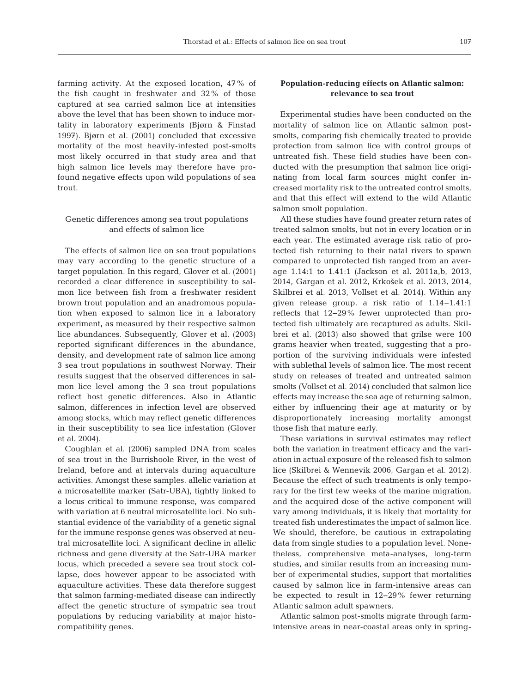farming activity. At the exposed location, 47% of the fish caught in freshwater and 32% of those captured at sea carried salmon lice at intensities above the level that has been shown to induce mortality in laboratory experiments (Bjørn & Finstad 1997). Bjørn et al. (2001) concluded that excessive mortality of the most heavily-infested post-smolts most likely occurred in that study area and that high salmon lice levels may therefore have profound negative effects upon wild populations of sea trout.

## Genetic differences among sea trout populations and effects of salmon lice

The effects of salmon lice on sea trout populations may vary according to the genetic structure of a target population. In this regard, Glover et al. (2001) recorded a clear difference in susceptibility to salmon lice between fish from a freshwater resident brown trout population and an anadromous population when exposed to salmon lice in a laboratory experiment, as measured by their respective salmon lice abundances. Subsequently, Glover et al. (2003) reported significant differences in the abundance, density, and development rate of salmon lice among 3 sea trout populations in southwest Norway. Their results suggest that the observed differences in sal mon lice level among the 3 sea trout populations reflect host genetic differences. Also in Atlantic salmon, differences in infection level are observed among stocks, which may reflect genetic differences in their susceptibility to sea lice infestation (Glover et al. 2004).

Coughlan et al. (2006) sampled DNA from scales of sea trout in the Burrishoole River, in the west of Ireland, before and at intervals during aquaculture activities. Amongst these samples, allelic variation at a microsatellite marker (Satr-UBA), tightly linked to a locus critical to immune response, was compared with variation at 6 neutral microsatellite loci. No substantial evidence of the variability of a genetic signal for the immune response genes was observed at neutral microsatellite loci. A significant decline in allelic richness and gene diversity at the Satr-UBA marker locus, which preceded a severe sea trout stock collapse, does however appear to be associated with aquaculture activities. These data therefore suggest that salmon farming-mediated disease can indirectly affect the genetic structure of sympatric sea trout populations by reducing variability at major histocompatibility genes.

# **Population-reducing effects on Atlantic salmon: relevance to sea trout**

Experimental studies have been conducted on the mortality of salmon lice on Atlantic salmon postsmolts, comparing fish chemically treated to provide protection from salmon lice with control groups of untreated fish. These field studies have been conducted with the presumption that salmon lice originating from local farm sources might confer increased mortality risk to the untreated control smolts, and that this effect will extend to the wild Atlantic salmon smolt population.

All these studies have found greater return rates of treated salmon smolts, but not in every location or in each year. The estimated average risk ratio of protected fish returning to their natal rivers to spawn compared to unprotected fish ranged from an average 1.14:1 to 1.41:1 (Jackson et al. 2011a,b, 2013, 2014, Gargan et al. 2012, Krkošek et al. 2013, 2014, Skilbrei et al. 2013, Vollset et al. 2014). Within any given release group, a risk ratio of 1.14–1.41:1 reflects that 12−29% fewer unprotected than protected fish ultimately are recaptured as adults. Skilbrei et al. (2013) also showed that grilse were 100 grams heavier when treated, suggesting that a proportion of the surviving individuals were infested with sublethal levels of salmon lice. The most recent study on releases of treated and untreated salmon smolts (Vollset et al. 2014) concluded that salmon lice effects may increase the sea age of returning salmon, either by influencing their age at maturity or by disproportionately increasing mortality amongst those fish that mature early.

These variations in survival estimates may reflect both the variation in treatment efficacy and the variation in actual exposure of the released fish to salmon lice (Skilbrei & Wennevik 2006, Gargan et al. 2012). Because the effect of such treatments is only temporary for the first few weeks of the marine migration, and the acquired dose of the active component will vary among individuals, it is likely that mortality for treated fish underestimates the impact of salmon lice. We should, therefore, be cautious in extrapolating data from single studies to a population level. Nonetheless, comprehensive meta-analyses, long-term studies, and similar results from an increasing number of experimental studies, support that mortalities caused by salmon lice in farm-intensive areas can be expected to result in 12−29% fewer returning Atlantic salmon adult spawners.

Atlantic salmon post-smolts migrate through farmintensive areas in near-coastal areas only in spring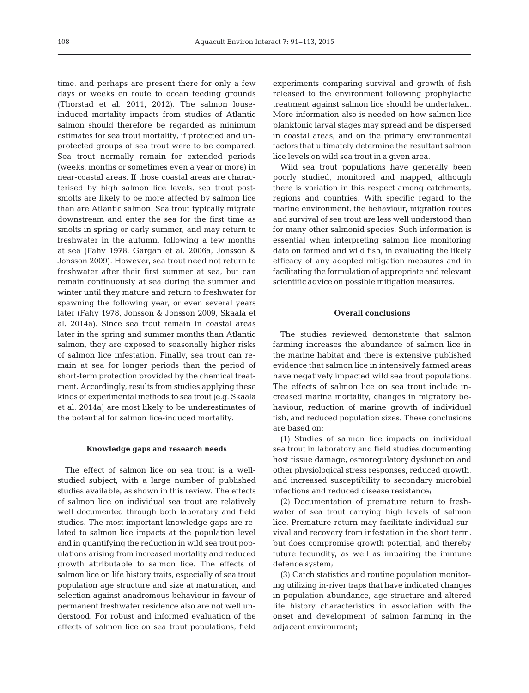time, and perhaps are present there for only a few days or weeks en route to ocean feeding grounds (Thorstad et al. 2011, 2012). The salmon louseinduced mortality impacts from studies of Atlantic salmon should therefore be regarded as minimum estimates for sea trout mortality, if protected and unprotected groups of sea trout were to be compared. Sea trout normally remain for extended periods (weeks, months or sometimes even a year or more) in near-coastal areas. If those coastal areas are characterised by high salmon lice levels, sea trout postsmolts are likely to be more affected by salmon lice than are Atlantic salmon. Sea trout typically migrate downstream and enter the sea for the first time as smolts in spring or early summer, and may return to freshwater in the autumn, following a few months at sea (Fahy 1978, Gargan et al. 2006a, Jonsson & Jonsson 2009). However, sea trout need not return to freshwater after their first summer at sea, but can remain continuously at sea during the summer and winter until they mature and return to freshwater for spawning the following year, or even several years later (Fahy 1978, Jonsson & Jonsson 2009, Skaala et al. 2014a). Since sea trout remain in coastal areas later in the spring and summer months than Atlantic salmon, they are exposed to seasonally higher risks of salmon lice infestation. Finally, sea trout can re main at sea for longer periods than the period of short-term protection provided by the chemical treatment. Accordingly, results from studies applying these kinds of experimental methods to sea trout (e.g. Skaala et al. 2014a) are most likely to be underestimates of the potential for salmon lice-induced mortality.

#### **Knowledge gaps and research needs**

The effect of salmon lice on sea trout is a wellstudied subject, with a large number of published studies available, as shown in this review. The effects of salmon lice on individual sea trout are relatively well documented through both laboratory and field studies. The most important knowledge gaps are related to salmon lice impacts at the population level and in quantifying the reduction in wild sea trout populations arising from increased mortality and reduced growth attributable to salmon lice. The effects of salmon lice on life history traits, especially of sea trout population age structure and size at maturation, and selection against anadromous behaviour in favour of permanent freshwater residence also are not well understood. For robust and informed evaluation of the effects of salmon lice on sea trout populations, field

experiments comparing survival and growth of fish released to the environment following prophylactic treatment against salmon lice should be undertaken. More information also is needed on how salmon lice planktonic larval stages may spread and be dispersed in coastal areas, and on the primary environmental factors that ultimately determine the resultant salmon lice levels on wild sea trout in a given area.

Wild sea trout populations have generally been poorly studied, monitored and mapped, although there is variation in this respect among catchments, regions and countries. With specific regard to the marine environment, the behaviour, migration routes and survival of sea trout are less well understood than for many other salmonid species. Such information is essential when interpreting salmon lice monitoring data on farmed and wild fish, in evaluating the likely efficacy of any adopted mitigation measures and in facilitating the formulation of appropriate and relevant scientific advice on possible mitigation measures.

## **Overall conclusions**

The studies reviewed demonstrate that salmon farming increases the abundance of salmon lice in the marine habitat and there is extensive published evidence that salmon lice in intensively farmed areas have negatively impacted wild sea trout populations. The effects of salmon lice on sea trout include increased marine mortality, changes in migratory be haviour, reduction of marine growth of individual fish, and reduced population sizes. These conclusions are based on:

(1) Studies of salmon lice impacts on individual sea trout in laboratory and field studies documenting host tissue damage, osmoregulatory dysfunction and other physiological stress responses, reduced growth, and increased susceptibility to secondary microbial infections and reduced disease resistance;

(2) Documentation of premature return to freshwater of sea trout carrying high levels of salmon lice. Premature return may facilitate individual survival and recovery from infestation in the short term, but does compromise growth potential, and thereby future fecundity, as well as impairing the immune defence system;

(3) Catch statistics and routine population monitoring utilizing in-river traps that have indicated changes in population abundance, age structure and altered life history characteristics in association with the onset and development of salmon farming in the adjacent environment;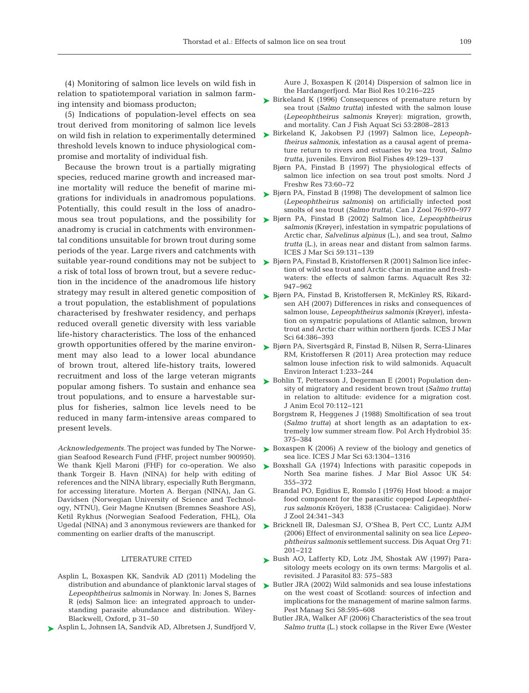(4) Monitoring of salmon lice levels on wild fish in relation to spatiotemporal variation in salmon farming intensity and biomass producton;

(5) Indications of population-level effects on sea trout derived from monitoring of salmon lice levels threshold levels known to induce physiological compromise and mortality of individual fish.

Because the brown trout is a partially migrating species, reduced marine growth and increased marine mortality will reduce the benefit of marine mi grations for individuals in anadromous populations. Potentially, this could result in the loss of anadroanadromy is crucial in catchments with environmental conditions unsuitable for brown trout during some periods of the year. Large rivers and catchments with a risk of total loss of brown trout, but a severe reduction in the incidence of the anadromous life history strategy may result in altered genetic composition of a trout population, the establishment of populations characterised by freshwater residency, and perhaps reduced overall genetic diversity with less variable life-history characteristics. The loss of the enhanced growth opportunities offered by the marine environ-[Bjørn PA, Sivertsgård R, Finstad B, Nilsen R, Serra-Llinares](http://dx.doi.org/10.3354/aei00023) ➤ ment may also lead to a lower local abundance of brown trout, altered life-history traits, lowered recruitment and loss of the large veteran migrants popular among fishers. To sustain and enhance sea trout populations, and to ensure a harvestable surplus for fisheries, salmon lice levels need to be reduced in many farm-intensive areas compared to present levels.

*Acknowledgements.* The project was funded by The Norwegian Seafood Research Fund (FHF, project number 900950). We thank Kjell Maroni (FHF) for co-operation. We also thank Torgeir B. Havn (NINA) for help with editing of references and the NINA library, especially Ruth Bergmann, for accessing literature. Morten A. Bergan (NINA), Jan G. Davidsen (Norwegian University of Science and Technology, NTNU), Geir Magne Knutsen (Bremnes Seashore AS), Ketil Rykhus (Norwegian Seafood Federation, FHL), Ola commenting on earlier drafts of the manuscript.

#### LITERATURE CITED

- Asplin L, Boxaspen KK, Sandvik AD (2011) Modeling the distribution and abundance of planktonic larval stages of *Lepeophtheirus salmonis* in Norway. In:Jones S, Barnes R (eds) Salmon lice: an integrated approach to understanding parasite abundance and distribution. Wiley-Blackwell, Oxford, p 31−50
- ▶ [Asplin L, Johnsen IA, Sandvik AD, Albretsen J, Sundfjord V,](http://dx.doi.org/10.1080/17451000.2013.810755)

Aure J, Boxaspen K (2014) Dispersion of salmon lice in the Hardangerfjord. Mar Biol Res 10:216-225

- ► [Birkeland K \(1996\) Consequences of premature return by](http://dx.doi.org/10.1139/f96-231) sea trout (*Salmo trutta*) infested with the salmon louse (Lepeophtheirus salmonis Krøyer): migration, growth, and mortality. Can J Fish Aquat Sci 53: 2808−2813
- on wild fish in relation to experimentally determined [Birkeland K, Jakobsen PJ \(1997\) Salmon lice,](http://dx.doi.org/10.1023/A%3A1007354632039) *Lepeoph-*➤ *theirus salmonis*, infestation as a causal agent of premature return to rivers and estuaries by sea trout, *Salmo trutta*, juveniles. Environ Biol Fishes 49: 129−137
	- Bjørn PA, Finstad B (1997) The physiological effects of salmon lice infection on sea trout post smolts. Nord J Freshw Res 73:60-72
	- ► [Bjørn PA, Finstad B \(1998\) The development of salmon lice](http://dx.doi.org/10.1139/cjz-76-5-970) (*Lepeophtheirus salmonis*) on artificially infected post smolts of sea trout (*Salmo trutta*). Can J Zool 76: 970−977
- mous sea trout populations, and the possibility for [Bjørn PA, Finstad B \(2002\) Salmon lice,](http://dx.doi.org/10.1006/jmsc.2001.1143) *Lepeophtheirus* ➤ *salmonis* (Krøyer), infestation in sympatric populations of Arctic char, *Salvelinus alpinus* (L.), and sea trout, *Salmo trutta* (L.), in areas near and distant from salmon farms. ICES J Mar Sci 59:131-139
- suitable year-round conditions may not be subject to  $\quadblacktriangleright$  [Bjørn PA, Finstad B, Kristoffersen R \(2001\) Salmon lice infec](http://dx.doi.org/10.1046/j.1365-2109.2001.00627.x)tion of wild sea trout and Arctic char in marine and freshwaters: the effects of salmon farms. Aquacult Res 32: 947−962
	- [Bjørn PA, Finstad B, Kristoffersen R, McKinley RS, Rikard-](http://dx.doi.org/10.1093/icesjms/fsl029)➤ sen AH (2007) Differences in risks and consequences of salmon louse, *Lepeophtheirus salmonis* (Krøyer), infestation on sympatric populations of Atlantic salmon, brown trout and Arctic charr within northern fjords. ICES J Mar Sci 64: 386−393
	- RM, Kristoffersen R (2011) Area protection may reduce salmon louse infection risk to wild salmonids. Aquacult Environ Interact 1:233-244
	- ► [Bohlin T, Pettersson J, Degerman E \(2001\) Population den](http://dx.doi.org/10.1046/j.1365-2656.2001.00466.x)sity of migratory and resident brown trout (*Salmo trutta*) in relation to altitude: evidence for a migration cost. J Anim Ecol 70: 112−121
		- Borgstrøm R, Heggenes J (1988) Smoltification of sea trout (*Salmo trutta*) at short length as an adaptation to extremely low summer stream flow. Pol Arch Hydrobiol 35: 375−384
	- ► [Boxaspen K \(2006\) A review of the biology and genetics of](http://dx.doi.org/10.1016/j.icesjms.2006.04.017) sea lice. ICES J Mar Sci 63: 1304−1316
	- ▶ [Boxshall GA \(1974\) Infections with parasitic copepods in](http://dx.doi.org/10.1017/S0025315400058598) North Sea marine fishes. J Mar Biol Assoc UK 54: 355−372
		- Brandal PO, Egidius E, Romslo I (1976) Host blood: a major food component for the parasitic copepod *Lepeophthei rus salmonis* Kröyeri, 1838 (Crustacea:Caligidae). Norw J Zool 24: 341−343
- Ugedal (NINA) and 3 anonymous reviewers are thanked for  $\triangleright$  [Bricknell IR, Dalesman SJ, O'Shea B, Pert CC, Luntz AJM](http://dx.doi.org/10.3354/dao071201) (2006) Effect of environmental salinity on sea lice *Lepeo phtheirus salmonis* settlement success. Dis Aquat Org 71: 201−212
	- ▶ [Bush AO, Lafferty KD, Lotz JM, Shostak AW \(1997\) Para](http://dx.doi.org/10.2307/3284227)sitology meets ecology on its own terms: Margolis et al. revisited. J Parasitol 83:575−583
	- ▶ [Butler JRA \(2002\) Wild salmonids and sea louse infestations](http://dx.doi.org/10.1002/ps.490) on the west coast of Scotland: sources of infection and implications for the management of marine salmon farms. Pest Manag Sci 58:595-608
		- Butler JRA, Walker AF (2006) Characteristics of the sea trout *Salmo trutta* (L.) stock collapse in the River Ewe (Wester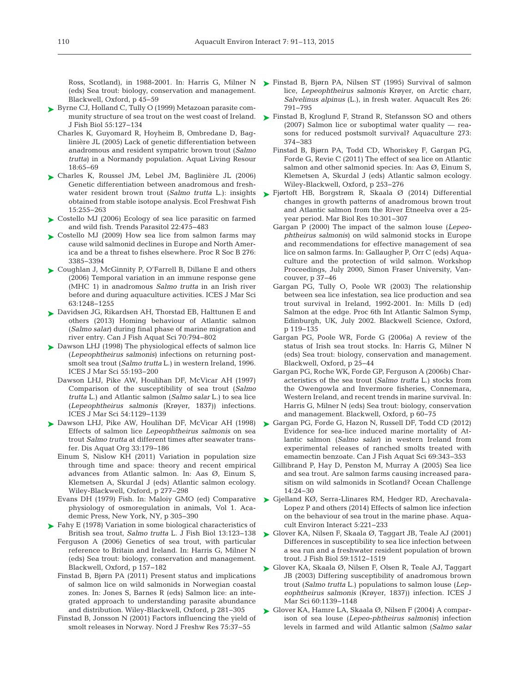(eds) Sea trout: biology, conservation and management. Blackwell, Oxford, p 45−59

- ► [Byrne CJ, Holland C, Tully O \(1999\) Metazoan parasite com](http://dx.doi.org/10.1051/alr%3A2005006)munity structure of sea trout on the west coast of Ireland. J Fish Biol 55: 127−134
	- Charles K, Guyomard R, Hoyheim B, Ombredane D, Bag linière JL (2005) Lack of genetic differentiation between anadromous and resident sympatric brown trout (*Salmo trutta*) in a Normandy population. Aquat Living Resour 18: 65−69
- [Charles K, Roussel JM, Lebel JM, Baglinière JL \(2006\)](http://dx.doi.org/10.1111/j.1600-0633.2006.00149.x) ➤ Genetic differentiation between anadromous and freshwater resident brown trout (*Salmo trutta* L.): insights obtained from stable isotope analysis. Ecol Freshwat Fish 15: 255−263
- ► [Costello MJ \(2006\) Ecology of sea lice parasitic on farmed](http://dx.doi.org/10.1016/j.pt.2006.08.006) and wild fish. Trends Parasitol 22: 475−483
- [Costello MJ \(2009\) How sea lice from salmon farms may](http://dx.doi.org/10.1098/rspb.2009.0771) ➤ cause wild salmonid declines in Europe and North America and be a threat to fishes elsewhere. Proc R Soc B 276: 3385−3394
- [Coughlan J, McGinnity P, O'Farrell B, Dillane E and others](http://dx.doi.org/10.1016/j.icesjms.2006.03.025) ➤ (2006) Temporal variation in an immune response gene (MHC 1) in anadromous *Salmo trutta* in an Irish river before and during aquaculture activities. ICES J Mar Sci 63: 1248−1255
- [Davidsen JG, Rikardsen AH, Thorstad EB, Halttunen E and](http://dx.doi.org/10.1139/cjfas-2012-0352) ➤ others (2013) Homing behaviour of Atlantic salmon (*Salmo salar*) during final phase of marine migration and river entry. Can J Fish Aquat Sci 70: 794−802
- ► [Dawson LHJ \(1998\) The physiological effects of salmon lice](http://dx.doi.org/10.1006/jmsc.1997.0358) (*Lepeophtheirus salmonis*) infections on returning postsmolt sea trout (*Salmo trutta* L.) in western Ireland, 1996. ICES J Mar Sci 55: 193−200
	- Dawson LHJ, Pike AW, Houlihan DF, McVicar AH (1997) Comparison of the susceptibility of sea trout (*Salmo trutta* L.) and Atlantic salmon (*Salmo salar* L.) to sea lice (*Lepeophtheirus salmonis* (Krøyer, 1837)) infections. ICES J Mar Sci 54: 1129−1139
- ▶ [Dawson LHJ, Pike AW, Houlihan DF, McVicar AH \(1998\)](http://dx.doi.org/10.3354/dao033179) Effects of salmon lice *Lepeophtheirus salmonis* on sea trout *Salmo trutta* at different times after seawater transfer. Dis Aquat Org 33: 179−186
	- Einum S, Nislow KH (2011) Variation in population size through time and space: theory and recent empirical advances from Atlantic salmon. In: Aas  $\varnothing$ , Einum S, Klemetsen A, Skurdal J (eds) Atlantic salmon ecology. Wiley-Blackwell, Oxford, p 277−298
	- Evans DH (1979) Fish. In: Maloiy GMO (ed) Comparative physiology of osmoregulation in animals, Vol 1. Academic Press, New York, NY, p 305−390

► [Fahy E \(1978\) Variation in some biological characteristics of](http://dx.doi.org/10.1111/j.1095-8649.1978.tb03420.x) British sea trout, *Salmo trutta* L. J Fish Biol 13: 123−138

- Ferguson A (2006) Genetics of sea trout, with particular reference to Britain and Ireland. In: Harris G, Milner N (eds) Sea trout: biology, conservation and management. Blackwell, Oxford, p 157−182
- Finstad B, Bjørn PA (2011) Present status and implications of salmon lice on wild salmonids in Norwegian coastal zones. In: Jones S, Barnes R (eds) Salmon lice: an integrated approach to understanding parasite abundance and distribution. Wiley-Blackwell, Oxford, p 281−305
- Finstad B, Jonsson N (2001) Factors influencing the yield of smolt releases in Norway. Nord J Freshw Res 75:37-55
- Ross, Scotland), in 1988-2001. In: Harris G, Milner N  $\blacktriangleright$  [Finstad B, Bjørn PA, Nilsen ST \(1995\) Survival of salmon](http://dx.doi.org/10.1111/j.1365-2109.1995.tb00871.x) lice, *Lepeophtheirus salmonis* Krøyer, on Arctic charr, *Salvelinus alpinus* (L.), in fresh water. Aquacult Res 26: 791−795
	- ► [Finstad B, Kroglund F, Strand R, Stefansson SO and others](http://dx.doi.org/10.1016/j.aquaculture.2007.10.019) (2007) Salmon lice or suboptimal water quality — reasons for reduced postsmolt survival? Aquaculture 273: 374−383
		- Finstad B, Bjørn PA, Todd CD, Whoriskey F, Gargan PG, Forde G, Revie C (2011) The effect of sea lice on Atlantic salmon and other salmonid species. In: Aas  $\varnothing$ , Einum S, Klemetsen A, Skurdal J (eds) Atlantic salmon ecology. Wiley-Blackwell, Oxford, p 253−276
	- [Fjørtoft HB, Borgstrøm R, Skaala Ø \(2014\) Differential](http://dx.doi.org/10.1080/17451000.2013.810753) ➤ changes in growth patterns of anadromous brown trout and Atlantic salmon from the River Etneelva over a 25 year period. Mar Biol Res 10: 301−307
		- Gargan P (2000) The impact of the salmon louse (*Lepeo phtheirus salmonis*) on wild salmonid stocks in Europe and recommendations for effective management of sea lice on salmon farms. In:Gallaugher P, Orr C (eds) Aquaculture and the protection of wild salmon. Workshop Proceedings, July 2000, Simon Fraser University, Vancouver, p 37−46
		- Gargan PG, Tully O, Poole WR (2003) The relationship between sea lice infestation, sea lice production and sea trout survival in Ireland, 1992-2001. In: Mills D (ed) Salmon at the edge. Proc 6th Int Atlantic Salmon Symp, Edinburgh, UK, July 2002. Blackwell Science, Oxford, p 119−135
		- Gargan PG, Poole WR, Forde G (2006a) A review of the status of Irish sea trout stocks. In: Harris G, Milner N (eds) Sea trout: biology, conservation and management. Blackwell, Oxford, p 25−44
		- Gargan PG, Roche WK, Forde GP, Ferguson A (2006b) Characteristics of the sea trout (*Salmo trutta* L.) stocks from the Owengowla and Invermore fisheries, Connemara, Western Ireland, and recent trends in marine survival. In: Harris G, Milner N (eds) Sea trout: biology, conservation and management. Blackwell, Oxford, p 60−75
	- ► [Gargan PG, Forde G, Hazon N, Russell DF, Todd CD \(2012\)](http://dx.doi.org/10.1139/f2011-155) Evidence for sea-lice induced marine mortality of Atlantic salmon (*Salmo salar*) in western Ireland from experimental releases of ranched smolts treated with emamectin benzoate. Can J Fish Aquat Sci 69:343–353
		- Gillibrand P, Hay D, Penston M, Murray A (2005) Sea lice and sea trout. Are salmon farms causing increased parasitism on wild salmonids in Scotland? Ocean Challenge 14: 24−30
	- ▶ [Gjelland KØ, Serra-Llinares RM, Hedger RD, Arechavala-](http://dx.doi.org/10.3354/aei00105)Lopez P and others (2014) Effects of salmon lice infection on the behaviour of sea trout in the marine phase. Aquacult Environ Interact 5: 221−233
	- [Glover KA, Nilsen F, Skaala Ø, Taggart JB, Teale AJ \(2001\)](http://dx.doi.org/10.1111/j.1095-8649.2001.tb00216.x) ➤ Differences in susceptibility to sea lice infection between a sea run and a freshwater resident population of brown trout. J Fish Biol 59: 1512−1519
	- [Glover KA, Skaala Ø, Nilsen F, Olsen R, Teale AJ, Taggart](http://dx.doi.org/10.1016/S1054-3139(03)00088-2) ➤ JB (2003) Differing susceptibility of anadromous brown trout (*Salmo trutta* L.) populations to salmon louse (*Lepeophtheirus salmonis* (Krøyer, 1837)) infection. ICES J Mar Sci 60:1139-1148
	- $\blacktriangleright$  Glover KA, Hamre LA, Skaala  $\varnothing$ , Nilsen F (2004) A comparison of sea louse (*Lepeo-phtheirus salmonis*) infection levels in farmed and wild Atlantic salmon (*Salmo salar*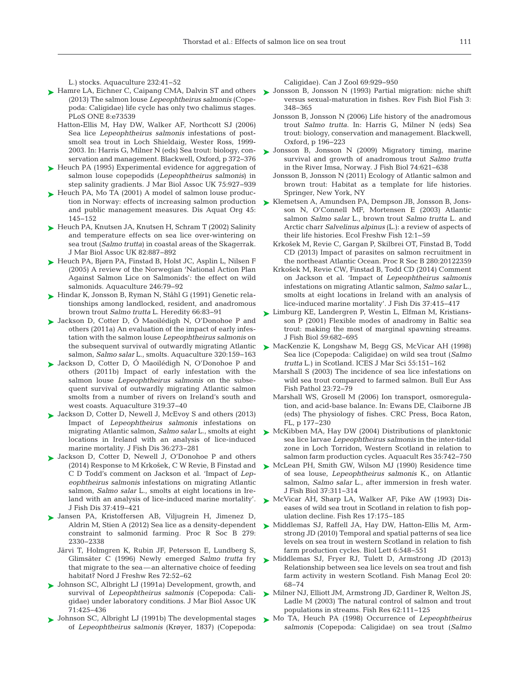L.) stocks. Aquaculture 232:41-52

- ► [Hamre LA, Eichner C, Caipang CMA, Dalvin ST and others](http://www.ncbi.nlm.nih.gov/entrez/query.fcgi?cmd=Retrieve&db=PubMed&list_uids=12453237&dopt=Abstract) ► Jonsson B, Jonsson N (1993) Partial migration: niche shift (2013) The salmon louse *Lepeophtheirus salmonis* (Cope poda:Caligidae) life cycle has only two chalimus stages. PLoS ONE 8:e73539
	- Hatton-Ellis M, Hay DW, Walker AF, Northcott SJ (2006) Sea lice *Lepeophtheirus salmonis* infestations of postsmolt sea trout in Loch Shieldaig, Wester Ross, 1999- 2003. In: Harris G, Milner N (eds) Sea trout: biology, conservation and management. Blackwell, Oxford, p 372−376
- ► [Heuch PA \(1995\) Experimental evidence for aggregation of](http://dx.doi.org/10.1017/S002531540003825X) salmon louse copepodids (*Lepeophtheirus salmonis*) in step salinity gradients. J Mar Biol Assoc UK 75:927-939
- ► [Heuch PA, Mo TA \(2001\) A model of salmon louse produc](http://dx.doi.org/10.3354/dao045145)tion in Norway: effects of increasing salmon production and public management measures. Dis Aquat Org 45: 145−152
- [Heuch PA, Knutsen JA, Knutsen H, Schram T \(2002\) Salinity](http://dx.doi.org/10.1017/S0025315402006306) ➤ and temperature effects on sea lice over-wintering on sea trout (*Salmo trutta*) in coastal areas of the Skagerrak. J Mar Biol Assoc UK 82: 887−892
- ► [Heuch PA, Bjørn PA, Finstad B, Holst JC, Asplin L, Nilsen F](http://dx.doi.org/10.1016/j.aquaculture.2004.12.027) (2005) A review of the Norwegian 'National Action Plan Against Salmon Lice on Salmonids': the effect on wild salmonids. Aquaculture 246:79-92
- [Hindar K, Jonsson B, Ryman N, Ståhl G \(1991\) Genetic rela-](http://dx.doi.org/10.1111/j.1439-0426.2006.00713.x)➤ tionships among landlocked, resident, and anadromous brown trout *Salmo trutta* L. Heredity 66:83-91
- ▶ Jackson D, Cotter D, O Maoilédigh N, O'Donohoe P and others (2011a) An evaluation of the impact of early infestation with the salmon louse *Lepeophtheirus salmonis* on the subsequent survival of outwardly migrating Atlantic salmon, *Salmo salar* L., smolts. Aquaculture 320: 159−163
- ▶ Jackson D, Cotter D, O Maoilédigh N, O'Donohoe P and others (2011b) Impact of early infestation with the salmon louse *Lepeophtheirus salmonis* on the subsequent survival of outwardly migrating Atlantic salmon smolts from a number of rivers on Ireland's south and west coasts. Aquaculture 319:37-40
- ► [Jackson D, Cotter D, Newell J, McEvoy S and others \(2013\)](http://dx.doi.org/10.1111/jfd.12054) Impact of *Lepeophtheirus salmonis* infestations on migrating Atlantic salmon, *Salmo salar* L., smolts at eight locations in Ireland with an analysis of lice-induced marine mortality. J Fish Dis 36:273-281
- ▶ [Jackson D, Cotter D, Newell J, O'Donohoe P and others](http://dx.doi.org/10.1111/jfd.12239) (2014) Response to M Krkošek, C W Revie, B Finstad and C D Todd's comment on Jackson et al. 'Impact of *Lepeophtheirus salmonis* infestations on migrating Atlantic salmon, *Salmo salar* L., smolts at eight locations in Ireland with an analysis of lice-induced marine mortality'. J Fish Dis 37: 419−421
- [Jansen PA, Kristoffersen AB, Viljugrein H, Jimenez D,](http://dx.doi.org/10.1098/rspb.2012.0084) ➤ constraint to salmonid farming. Proc R Soc B 279: 2330−2338
	- Järvi T, Holmgren K, Rubin JF, Petersson E, Lundberg S, Glimsäter C (1996) Newly emerged *Salmo trutta* fry that migrate to the sea—an alternative choice of feeding habitat? Nord J Freshw Res 72:52–62
- [Johnson SC, Albright LJ \(1991a\) Development, growth, and](http://dx.doi.org/10.1017/S0025315400051687) ➤ survival of *Lepeophtheirus salmonis* (Copepoda: Caligidae) under laboratory conditions. J Mar Biol Assoc UK 71: 425−436
- ► [Johnson SC, Albright LJ \(1991b\) The developmental stages](http://dx.doi.org/10.1139/z91-138) of *Lepeophtheirus salmonis* (Krøyer, 1837) (Copepoda:

Caligidae). Can J Zool 69:929-950

- versus sexual-maturation in fishes. Rev Fish Biol Fish 3: 348−365
- Jonsson B, Jonsson N (2006) Life history of the anadromous trout *Salmo trutta*. In: Harris G, Milner N (eds) Sea trout: biology, conservation and management. Blackwell, Oxford, p 196−223
- [Jonsson B, Jonsson N \(2009\) Migratory timing, marine](http://dx.doi.org/10.1111/j.1095-8649.2008.02152.x) ➤ survival and growth of anadromous trout *Salmo trutta* in the River Imsa, Norway. J Fish Biol 74: 621−638
	- Jonsson B, Jonsson N (2011) Ecology of Atlantic salmon and brown trout: Habitat as a template for life histories. Springer, New York, NY
- [Klemetsen A, Amundsen PA, Dempson JB, Jonsson B, Jons-](http://dx.doi.org/10.1111/jfd.12157)➤ son N, O'Connell MF, Mortensen E (2003) Atlantic salmon *Salmo salar* L., brown trout *Salmo trutta* L. and Arctic charr *Salvelinus alpinus* (L.): a review of aspects of their life histories. Ecol Freshw Fish 12: 1−59
	- Krkošek M, Revie C, Gargan P, Skilbrei OT, Finstad B, Todd CD (2013) Impact of parasites on salmon recruitment in the northeast Atlantic Ocean. Proc R Soc B 280:20122359
	- Krkošek M, Revie CW, Finstad B, Todd CD (2014) Comment on Jackson et al. 'Impact of *Lepeophtheirus salmonis* infestations on migrating Atlantic salmon, *Salmo salar* L., smolts at eight locations in Ireland with an analysis of lice-induced marine mortality'. J Fish Dis 37: 415−417
- [Limburg KE, Landergren P, Westin L, Elfman M, Kristians-](http://dx.doi.org/10.1111/j.1095-8649.2001.tb02372.x)➤ son P (2001) Flexible modes of anadromy in Baltic sea trout: making the most of marginal spawning streams. J Fish Biol 59: 682−695
- [MacKenzie K, Longshaw M, Begg GS, McVicar AH \(1998\)](http://dx.doi.org/10.1006/jmsc.1997.0362) ➤ Sea lice (Copepoda:Caligidae) on wild sea trout (*Salmo trutta* L.) in Scotland. ICES J Mar Sci 55: 151−162
	- Marshall S (2003) The incidence of sea lice infestations on wild sea trout compared to farmed salmon. Bull Eur Ass Fish Pathol 23: 72−79
	- Marshall WS, Grosell M (2006) Ion transport, osmoregulation, and acid-base balance. In:Ewans DE, Claiborne JB (eds) The physiology of fishes. CRC Press, Boca Raton, FL, p 177−230
- ► [McKibben MA, Hay DW \(2004\) Distributions of planktonic](http://dx.doi.org/10.1111/j.1365-2109.2004.01096.x) sea lice larvae *Lepeophtheirus salmonis* in the inter-tidal zone in Loch Torridon, Western Scotland in relation to salmon farm production cycles. Aquacult Res 35: 742−750
- ▶ [McLean PH, Smith GW, Wilson MJ \(1990\) Residence time](http://dx.doi.org/10.1111/j.1095-8649.1990.tb05861.x) of sea louse, *Lepeophtheirus salmonis* K., on Atlantic salmon, *Salmo salar* L., after immersion in fresh water. J Fish Biol 37: 311−314
- [McVicar AH, Sharp LA, Walker AF, Pike AW \(1993\) Dis-](http://dx.doi.org/10.1016/0165-7836(93)90017-2)➤ eases of wild sea trout in Scotland in relation to fish population decline. Fish Res 17: 175−185
- Aldrin M, Stien A (2012) Sea lice as a density-dependent Niddlemas SJ, Raffell JA, Hay DW, Hatton-Ellis M, Armstrong JD (2010) Temporal and spatial patterns of sea lice levels on sea trout in western Scotland in relation to fish farm production cycles. Biol Lett 6:548-551
	- ▶ [Middlemas SJ, Fryer RJ, Tulett D, Armstrong JD \(2013\)](http://dx.doi.org/10.1111/fme.12010) Relationship between sea lice levels on sea trout and fish farm activity in western Scotland. Fish Manag Ecol 20: 68−74
	- ▶ [Milner NJ, Elliott JM, Armstrong JD, Gardiner R, Welton JS,](http://dx.doi.org/10.1016/S0165-7836(02)00157-1) Ladle M (2003) The natural control of salmon and trout populations in streams. Fish Res 62: 111−125
	- [Mo TA, Heuch PA \(1998\) Occurrence of](http://dx.doi.org/10.1006/jmsc.1997.0359) *Lepeophtheirus* ➤ *salmonis* (Copepoda:Caligidae) on sea trout (*Salmo*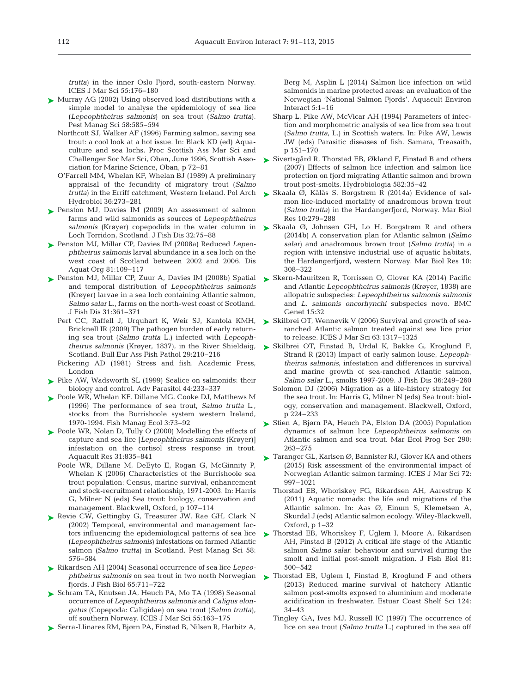*trutta*) in the inner Oslo Fjord, south-eastern Norway. ICES J Mar Sci 55: 176−180

- ► [Murray AG \(2002\) Using observed load distributions with a](http://dx.doi.org/10.1002/ps.470) simple model to analyse the epidemiology of sea lice (*Lepeophtheirus salmonis*) on sea trout (*Salmo trutta*). Pest Manag Sci 58:585-594
	- Northcott SJ, Walker AF (1996) Farming salmon, saving sea trout: a cool look at a hot issue. In: Black KD (ed) Aquaculture and sea lochs. Proc Scottish Ass Mar Sci and Challenger Soc Mar Sci, Oban, June 1996, Scottish Association for Marine Science, Oban, p 72−81
	- O'Farrell MM, Whelan KF, Whelan BJ (1989) A preliminary appraisal of the fecundity of migratory trout (*Salmo trutta*) in the Erriff catchment, Western Ireland. Pol Arch Hydrobiol 36: 273−281
- ▶ [Penston MJ, Davies IM \(2009\) An assessment of salmon](http://dx.doi.org/10.1111/j.1365-2761.2008.00986.x) farms and wild salmonids as sources of *Lepeophtheirus salmonis* (Krøyer) copepodids in the water column in Loch Torridon, Scotland. J Fish Dis 32:75-88
- [Penston MJ, Millar CP, Davies IM \(2008a\) Reduced](http://dx.doi.org/10.3354/dao01946) *Lepeo -* ➤ *phtheirus salmonis* larval abundance in a sea loch on the west coast of Scotland between 2002 and 2006. Dis Aquat Org 81:109-117
- ▶ [Penston MJ, Millar CP, Zuur A, Davies IM \(2008b\) Spatial](http://dx.doi.org/10.1111/j.1365-2761.2008.00915.x) and temporal distribution of *Lepeophtheirus salmonis* (Krøyer) larvae in a sea loch containing Atlantic salmon, *Salmo salar* L., farms on the north-west coast of Scotland. J Fish Dis 31: 361−371
	- Pert CC, Raffell J, Urquhart K, Weir SJ, Kantola KMH, Bricknell IR (2009) The pathogen burden of early returning sea trout (*Salmo trutta* L.) infected with *Lepeoph-*Scotland. Bull Eur Ass Fish Pathol 29:210-216
	- Pickering AD (1981) Stress and fish. Academic Press, London
- $\blacktriangleright$  Pike AW, Wadsworth SL (1999) Sealice on salmonids: their biology and control. Adv Parasitol 44:233-337
- ▶ [Poole WR, Whelan KF, Dillane MG, Cooke DJ, Matthews M](http://dx.doi.org/10.1111/j.1365-2400.1996.tb00131.x) (1996) The performance of sea trout, *Salmo trutta* L., stocks from the Burrishoole system western Ireland, 1970-1994. Fish Manag Ecol 3:73-92
- ▶ [Poole WR, Nolan D, Tully O \(2000\) Modelling the effects of](http://dx.doi.org/10.1046/j.1365-2109.2000.00516.x) capture and sea lice [*Lepeophtheirus salmonis* (Krøyer)] infestation on the cortisol stress response in trout. Aquacult Res 31: 835−841
	- Poole WR, Dillane M, DeEyto E, Rogan G, McGinnity P, Whelan K (2006) Characteristics of the Burrishoole sea trout population:Census, marine survival, enhancement and stock-recruitment relationship, 1971-2003. In: Harris G, Milner N (eds) Sea trout: biology, conservation and management. Blackwell, Oxford, p 107−114
- ▶ [Revie CW, Gettingby G, Treasurer JW, Rae GH, Clark N](http://dx.doi.org/10.1002/ps.476) (2002) Temporal, environmental and management factors influencing the epidemiological patterns of sea lice (*Lepeophtheirus salmonis*) infestations on farmed Atlantic salmon *(Salmo trutta*) in Scotland. Pest Manag Sci 58: 576−584
- [Rikardsen AH \(2004\) Seasonal occurrence of sea lice](http://dx.doi.org/10.1111/j.0022-1112.2004.00478.x) *Lepeo -* ➤ *phtheirus salmonis* on sea trout in two north Norwegian fjords. J Fish Biol 65: 711−722
- ► [Schram TA, Knutsen JA, Heuch PA, Mo TA \(1998\) Seasonal](http://dx.doi.org/10.1006/jmsc.1997.0357) occurrence of *Lepeophtheirus salmonis* and *Caligus elon gatus* (Copepoda:Caligidae) on sea trout (*Salmo trutta*), off southern Norway. ICES J Mar Sci 55: 163−175
- [Serra-Llinares RM, Bjørn PA, Finstad B, Nilsen R, Harbitz A,](http://dx.doi.org/10.3354/aei00090) ➤

Berg M, Asplin L (2014) Salmon lice infection on wild salmonids in marine protected areas: an evaluation of the Norwegian 'National Salmon Fjords'. Aquacult Environ Interact 5: 1−16

- Sharp L, Pike AW, McVicar AH (1994) Parameters of infection and morphometric analysis of sea lice from sea trout (*Salmo trutta*, L.) in Scottish waters. In: Pike AW, Lewis JW (eds) Parasitic diseases of fish. Samara, Treasaith, p 151−170
- [Sivertsgård R, Thorstad EB, Økland F, Finstad B and others](http://dx.doi.org/10.1007/s10750-006-0545-x) ➤ (2007) Effects of salmon lice infection and salmon lice protection on fjord migrating Atlantic salmon and brown trout post-smolts. Hydrobiologia 582:35-42
- ► Skaala Ø, Kålås S, Borgstrøm R (2014a) Evidence of salmon lice-induced mortality of anadromous brown trout (*Salmo trutta*) in the Hardangerfjord, Norway. Mar Biol Res 10: 279−288
- [Skaala Ø, Johnsen GH, Lo H, Borgstrøm R and others](http://dx.doi.org/10.1080/17451000.2013.810758) ➤ (2014b) A conservation plan for Atlantic salmon (*Salmo salar*) and anadromous brown trout (*Salmo trutta*) in a region with intensive industrial use of aquatic habitats, the Hardangerfjord, western Norway. Mar Biol Res 10: 308−322
- ► [Skern-Mauritzen R, Torrissen O, Glover KA \(2014\) Pacific](http://dx.doi.org/10.1186/1471-2156-15-32) and Atlantic *Lepeophtheirus salmonis* (Krøyer, 1838) are allopatric subspecies: *Lepeophtheirus salmonis salmonis* and *L. salmonis oncorhynchi* subspecies novo. BMC Genet 15:32
- ► [Skilbrei OT, Wennevik V \(2006\) Survival and growth of sea](http://dx.doi.org/10.1016/j.icesjms.2006.04.012)ranched Atlantic salmon treated against sea lice prior to release. ICES J Mar Sci 63: 1317−1325
- *theirus salmonis* (Krøyer, 1837), in the River Shieldaig, [Skilbrei OT, Finstad B, Urdal K, Bakke G, Kroglund F,](http://dx.doi.org/10.1111/jfd.12052) ➤ Strand R (2013) Impact of early salmon louse, *Lepeophtheirus salmonis*, infestation and differences in survival and marine growth of sea-ranched Atlantic salmon, *Salmo salar* L., smolts 1997-2009. J Fish Dis 36: 249−260
	- Solomon DJ (2006) Migration as a life-history strategy for the sea trout. In: Harris G, Milner N (eds) Sea trout: biology, conservation and management. Blackwell, Oxford, p 224−233
	- ► [Stien A, Bjørn PA, Heuch PA, Elston DA \(2005\) Population](http://dx.doi.org/10.3354/meps290263) dynamics of salmon lice *Lepeophtheirus salmonis* on Atlantic salmon and sea trout. Mar Ecol Prog Ser 290: 263−275
	- ► [Taranger GL, Karlsen Ø, Bannister RJ, Glover KA and others](http://dx.doi.org/10.1093/icesjms/fsu132) (2015) Risk assessment of the environmental impact of Norwegian Atlantic salmon farming. ICES J Mar Sci 72: 997−1021
		- Thorstad EB, Whoriskey FG, Rikardsen AH, Aarestrup K  $(2011)$  Aquatic nomads: the life and migrations of the Atlantic salmon. In: Aas Ø, Einum S, Klemetsen A, Skurdal J (eds) Atlantic salmon ecology. Wiley-Blackwell, Oxford, p 1−32
	- ▶ [Thorstad EB, Whoriskey F, Uglem I, Moore A, Rikardsen](http://dx.doi.org/10.1111/j.1095-8649.2012.03370.x) AH, Finstad B (2012) A critical life stage of the Atlantic salmon *Salmo salar*: behaviour and survival during the smolt and initial post-smolt migration. J Fish Biol 81: 500−542
	- ▶ [Thorstad EB, Uglem I, Finstad B, Kroglund F and others](http://dx.doi.org/10.1016/j.ecss.2013.03.021) (2013) Reduced marine survival of hatchery Atlantic salmon post-smolts exposed to aluminium and moderate acidification in freshwater. Estuar Coast Shelf Sci 124: 34−43
		- Tingley GA, Ives MJ, Russell IC (1997) The occurrence of lice on sea trout (*Salmo trutta* L.) captured in the sea off